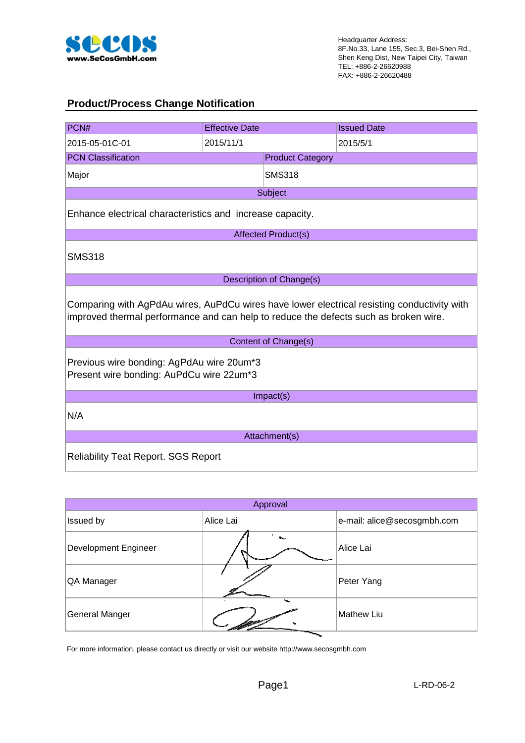

#### **Product/Process Change Notification**

| PCN#                                                                                                                                                                                | <b>Effective Date</b> |                            | <b>Issued Date</b> |  |  |  |  |
|-------------------------------------------------------------------------------------------------------------------------------------------------------------------------------------|-----------------------|----------------------------|--------------------|--|--|--|--|
| 2015-05-01C-01                                                                                                                                                                      | 2015/11/1             |                            | 2015/5/1           |  |  |  |  |
| <b>PCN Classification</b>                                                                                                                                                           |                       | <b>Product Category</b>    |                    |  |  |  |  |
| Major                                                                                                                                                                               |                       | <b>SMS318</b>              |                    |  |  |  |  |
|                                                                                                                                                                                     |                       | Subject                    |                    |  |  |  |  |
| Enhance electrical characteristics and increase capacity.                                                                                                                           |                       |                            |                    |  |  |  |  |
|                                                                                                                                                                                     |                       | <b>Affected Product(s)</b> |                    |  |  |  |  |
| <b>SMS318</b>                                                                                                                                                                       |                       |                            |                    |  |  |  |  |
|                                                                                                                                                                                     |                       | Description of Change(s)   |                    |  |  |  |  |
| Comparing with AgPdAu wires, AuPdCu wires have lower electrical resisting conductivity with<br>improved thermal performance and can help to reduce the defects such as broken wire. |                       |                            |                    |  |  |  |  |
|                                                                                                                                                                                     |                       | Content of Change(s)       |                    |  |  |  |  |
| Previous wire bonding: AgPdAu wire 20um*3<br>Present wire bonding: AuPdCu wire 22um*3                                                                                               |                       |                            |                    |  |  |  |  |
|                                                                                                                                                                                     |                       | Impact(s)                  |                    |  |  |  |  |
| N/A                                                                                                                                                                                 |                       |                            |                    |  |  |  |  |
|                                                                                                                                                                                     |                       | Attachment(s)              |                    |  |  |  |  |
| <b>Reliability Teat Report. SGS Report</b>                                                                                                                                          |                       |                            |                    |  |  |  |  |

| Approval                    |                           |                             |  |  |  |  |
|-----------------------------|---------------------------|-----------------------------|--|--|--|--|
| Issued by                   | Alice Lai                 | e-mail: alice@secosgmbh.com |  |  |  |  |
| <b>Development Engineer</b> | $\mathbf{S}_{\text{max}}$ | Alice Lai                   |  |  |  |  |
| QA Manager                  |                           | Peter Yang                  |  |  |  |  |
| <b>General Manger</b>       |                           | <b>Mathew Liu</b>           |  |  |  |  |

For more information, please contact us directly or visit our website http://www.secosgmbh.com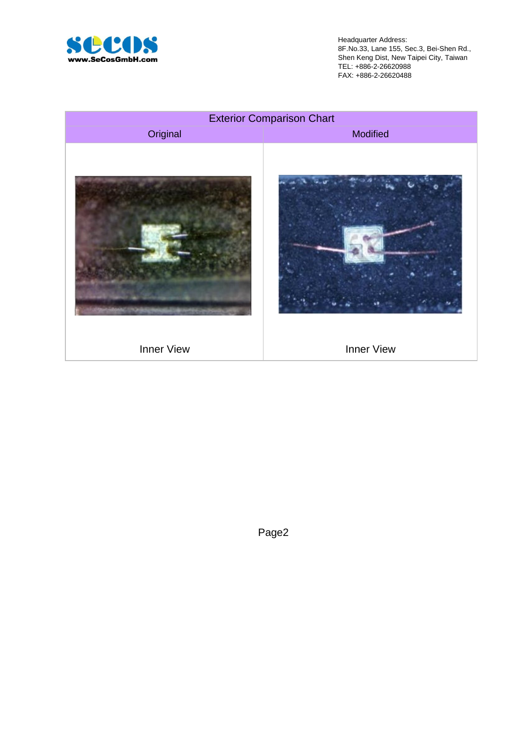

Headquarter Address: 8F.No.33, Lane 155, Sec.3, Bei-Shen Rd., Shen Keng Dist, New Taipei City, Taiwan TEL: +886-2-26620988 FAX: +886-2-26620488



Page2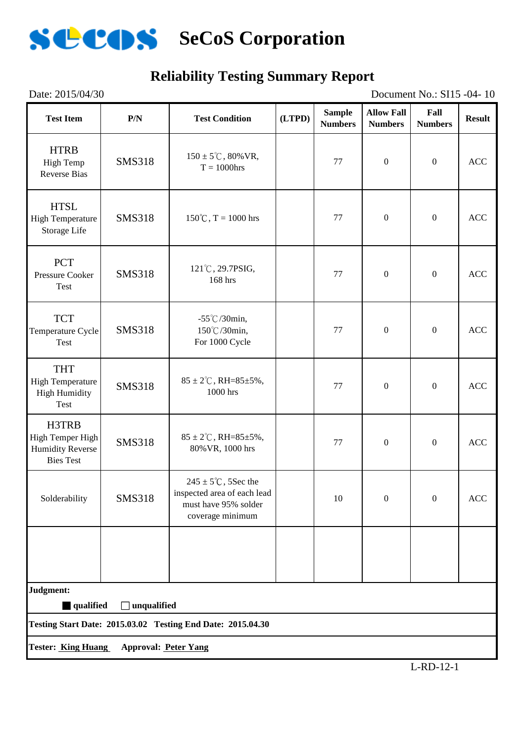

#### Date: 2015/04/30 Document No.: SI15 -04- 10 **Reliability Testing Summary Report**

| <b>Test Item</b>                                                         | P/N                         | <b>Test Condition</b>                                                                                      | (LTPD) | <b>Sample</b><br><b>Numbers</b> | <b>Allow Fall</b><br><b>Numbers</b> | Fall<br><b>Numbers</b> | <b>Result</b> |
|--------------------------------------------------------------------------|-----------------------------|------------------------------------------------------------------------------------------------------------|--------|---------------------------------|-------------------------------------|------------------------|---------------|
| <b>HTRB</b><br><b>High Temp</b><br><b>Reverse Bias</b>                   | <b>SMS318</b>               | $150 \pm 5^{\circ}$ C, 80% VR,<br>77<br>$T = 1000$ hrs                                                     |        | $\boldsymbol{0}$                | $\boldsymbol{0}$                    | <b>ACC</b>             |               |
| <b>HTSL</b><br><b>High Temperature</b><br>Storage Life                   | <b>SMS318</b>               | $150^{\circ}$ C, T = 1000 hrs                                                                              |        | 77                              | $\mathbf{0}$                        | $\boldsymbol{0}$       | <b>ACC</b>    |
| <b>PCT</b><br><b>Pressure Cooker</b><br>Test                             | <b>SMS318</b>               | 121°C, 29.7PSIG,<br>168 hrs                                                                                |        | 77                              | $\boldsymbol{0}$                    | $\boldsymbol{0}$       | <b>ACC</b>    |
| <b>TCT</b><br>Temperature Cycle<br>Test                                  | <b>SMS318</b>               | $-55^{\circ}$ C/30min,<br>150℃/30min,<br>For 1000 Cycle                                                    |        | 77                              | $\boldsymbol{0}$                    | $\boldsymbol{0}$       | <b>ACC</b>    |
| <b>THT</b><br><b>High Temperature</b><br><b>High Humidity</b><br>Test    | <b>SMS318</b>               | $85 \pm 2^{\circ}$ C, RH= $85 \pm 5\%$ ,<br>1000 hrs                                                       |        | 77                              | $\boldsymbol{0}$                    | $\boldsymbol{0}$       | <b>ACC</b>    |
| H3TRB<br>High Temper High<br><b>Humidity Reverse</b><br><b>Bies Test</b> | <b>SMS318</b>               | $85 \pm 2^{\circ}$ C, RH= $85 \pm 5\%$ ,<br>80% VR, 1000 hrs                                               |        | 77                              | $\boldsymbol{0}$                    | $\boldsymbol{0}$       | <b>ACC</b>    |
| Solderability                                                            | <b>SMS318</b>               | $245 \pm 5^{\circ}$ C, 5Sec the<br>inspected area of each lead<br>must have 95% solder<br>coverage minimum |        | 10                              | $\boldsymbol{0}$                    | $\boldsymbol{0}$       | $\rm ACC$     |
|                                                                          |                             |                                                                                                            |        |                                 |                                     |                        |               |
| Judgment:<br>qualified                                                   | unqualified<br>$\Box$       |                                                                                                            |        |                                 |                                     |                        |               |
|                                                                          |                             | Testing Start Date: 2015.03.02 Testing End Date: 2015.04.30                                                |        |                                 |                                     |                        |               |
| <b>Tester: King Huang</b>                                                | <b>Approval: Peter Yang</b> |                                                                                                            |        |                                 |                                     |                        |               |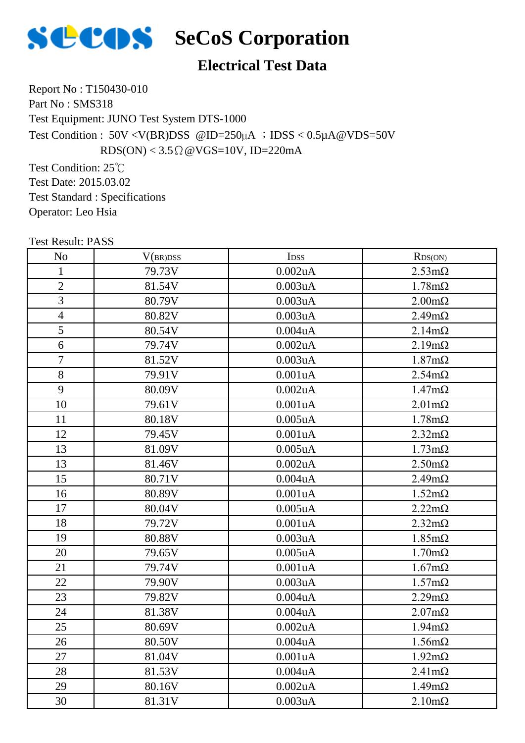

### **Electrical Test Data**

Report No : T150430-010 Part No: SMS318 Test Equipment: JUNO Test System DTS-1000 Test Condition :  $50V < V(BR)DSS$  @ID=250 $\mu$ A ; IDSS < 0.5 $\mu$ A @VDS=50V  $RDS(ON) < 3.5 \Omega \omega VGS = 10V$ , ID=220mA

Test Condition: 25℃ Test Date: 2015.03.02 Test Standard : Specifications Operator: Leo Hsia

| <b>Test Result: PASS</b> |          |                      |                       |
|--------------------------|----------|----------------------|-----------------------|
| N <sub>o</sub>           | V(BR)DSS | I <sub>DSS</sub>     | RDS(ON)               |
| $\mathbf{1}$             | 79.73V   | $0.002$ uA           | $2.53 \text{m}\Omega$ |
| $\overline{2}$           | 81.54V   | 0.003uA              | $1.78m\Omega$         |
| 3                        | 80.79V   | 0.003uA              | $2.00 \text{m}\Omega$ |
| $\overline{4}$           | 80.82V   | 0.003uA              | $2.49m\Omega$         |
| 5                        | 80.54V   | 0.004uA              | $2.14m\Omega$         |
| 6                        | 79.74V   | $0.002$ u $A$        | $2.19m\Omega$         |
| $\overline{7}$           | 81.52V   | 0.003uA              | $1.87 \text{m}\Omega$ |
| 8                        | 79.91V   | 0.001uA              | $2.54m\Omega$         |
| 9                        | 80.09V   | 0.002uA              | $1.47 \text{m}\Omega$ |
| 10                       | 79.61V   | 0.001uA              | $2.01 \text{m}\Omega$ |
| 11                       | 80.18V   | $0.005$ uA           | $1.78m\Omega$         |
| 12                       | 79.45V   | 0.001uA              | $2.32 \text{m}\Omega$ |
| 13                       | 81.09V   | $0.005$ uA           | $1.73 \text{m}\Omega$ |
| 13                       | 81.46V   | $0.002$ uA           | $2.50 \text{m}\Omega$ |
| 15                       | 80.71V   | 0.004uA              | $2.49m\Omega$         |
| 16                       | 80.89V   | 0.001uA              | $1.52 \text{m}\Omega$ |
| 17                       | 80.04V   | $0.005$ uA           | $2.22m\Omega$         |
| 18                       | 79.72V   | 0.001uA              | $2.32 \text{m}\Omega$ |
| 19                       | 80.88V   | 0.003uA              | $1.85 \text{m}\Omega$ |
| 20                       | 79.65V   | $0.005$ uA           | $1.70 \text{m}\Omega$ |
| 21                       | 79.74V   | 0.001uA              | $1.67 \text{m}\Omega$ |
| 22                       | 79.90V   | 0.003uA              | $1.57 \text{m}\Omega$ |
| 23                       | 79.82V   | 0.004uA              | $2.29m\Omega$         |
| 24                       | 81.38V   | $0.004$ u $A$        | $2.07 \text{m}\Omega$ |
| 25                       | 80.69V   | 0.002uA              | $1.94 \text{m}\Omega$ |
| 26                       | 80.50V   | 0.004 <sub>u</sub> A | $1.56 \text{m}\Omega$ |
| 27                       | 81.04V   | 0.001uA              | $1.92 \text{m}\Omega$ |
| 28                       | 81.53V   | 0.004uA              | $2.41 \text{m}\Omega$ |
| 29                       | 80.16V   | 0.002uA              | $1.49m\Omega$         |
| 30                       | 81.31V   | 0.003uA              | $2.10 \text{m}\Omega$ |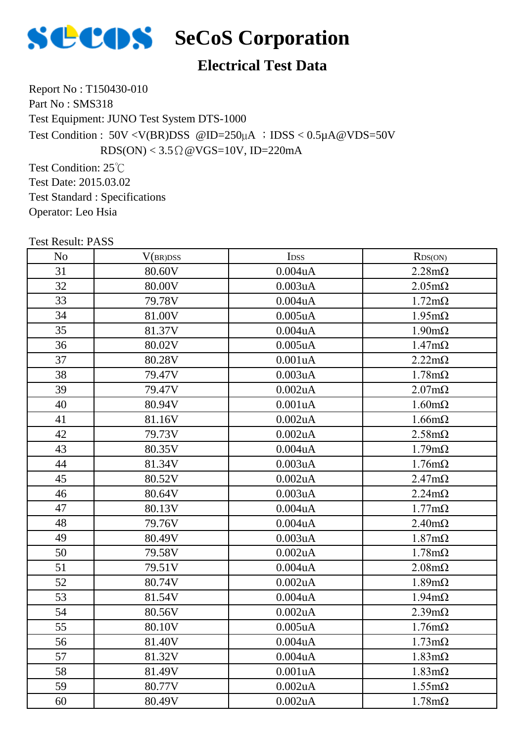

## **SECOS** SeCoS Corporation

### **Electrical Test Data**

Report No : T150430-010 Part No: SMS318 Test Equipment: JUNO Test System DTS-1000 Test Condition : 50V <V(BR)DSS @ID=250µA ;IDSS < 0.5µA@VDS=50V  $RDS(ON) < 3.5 \Omega \omega VGS = 10V$ , ID=220mA

Test Condition: 25℃ Test Date: 2015.03.02 Test Standard : Specifications Operator: Leo Hsia

| <b>Test Result: PASS</b> |          |                      |                       |
|--------------------------|----------|----------------------|-----------------------|
| N <sub>o</sub>           | V(BR)DSS | I <sub>DSS</sub>     | RDS(ON)               |
| 31                       | 80.60V   | 0.004uA              | $2.28 \text{m}\Omega$ |
| 32                       | 80.00V   | 0.003uA              | $2.05 \text{m}\Omega$ |
| 33                       | 79.78V   | 0.004uA              | $1.72 \text{m}\Omega$ |
| 34                       | 81.00V   | $0.005$ u $A$        | $1.95 \text{m}\Omega$ |
| 35                       | 81.37V   | $0.004$ u $A$        | $1.90 \text{m}\Omega$ |
| 36                       | 80.02V   | $0.005$ uA           | $1.47 \text{m}\Omega$ |
| 37                       | 80.28V   | 0.001uA              | $2.22 \text{m}\Omega$ |
| 38                       | 79.47V   | 0.003uA              | $1.78m\Omega$         |
| 39                       | 79.47V   | 0.002uA              | $2.07 \text{m}\Omega$ |
| 40                       | 80.94V   | 0.001uA              | $1.60 \text{m}\Omega$ |
| 41                       | 81.16V   | 0.002uA              | $1.66 \text{m}\Omega$ |
| 42                       | 79.73V   | 0.002uA              | $2.58 \text{m}\Omega$ |
| 43                       | 80.35V   | $0.004$ u $A$        | $1.79m\Omega$         |
| 44                       | 81.34V   | 0.003uA              | $1.76m\Omega$         |
| 45                       | 80.52V   | $0.002$ uA           | $2.47m\Omega$         |
| 46                       | 80.64V   | 0.003uA              | $2.24m\Omega$         |
| 47                       | 80.13V   | 0.004uA              | $1.77m\Omega$         |
| 48                       | 79.76V   | 0.004uA              | $2.40 \text{m}\Omega$ |
| 49                       | 80.49V   | 0.003uA              | $1.87 \text{m}\Omega$ |
| 50                       | 79.58V   | 0.002uA              | $1.78m\Omega$         |
| 51                       | 79.51V   | 0.004uA              | $2.08 \text{m}\Omega$ |
| 52                       | 80.74V   | 0.002uA              | $1.89m\Omega$         |
| 53                       | 81.54V   | 0.004uA              | $1.94 \text{m}\Omega$ |
| 54                       | 80.56V   | 0.002uA              | $2.39 \text{m}\Omega$ |
| 55                       | 80.10V   | $0.005$ uA           | $1.76m\Omega$         |
| 56                       | 81.40V   | 0.004 <sub>u</sub> A | $1.73 \text{m}\Omega$ |
| 57                       | 81.32V   | 0.004uA              | $1.83 \text{m}\Omega$ |
| 58                       | 81.49V   | 0.001uA              | $1.83 \text{m}\Omega$ |
| 59                       | 80.77V   | 0.002uA              | $1.55 \text{m}\Omega$ |
| 60                       | 80.49V   | 0.002uA              | $1.78 \text{m}\Omega$ |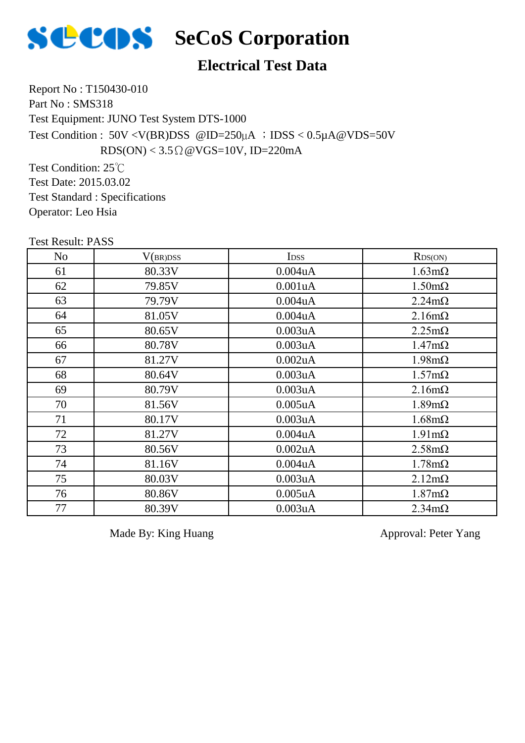

## **SECOS** SeCoS Corporation

#### **Electrical Test Data**

Report No : T150430-010 Part No: SMS318 Test Equipment: JUNO Test System DTS-1000 Test Condition :  $50V < V(BR)DSS$  @ID=250 $\mu$ A ; IDSS < 0.5 $\mu$ A @VDS=50V  $RDS(ON) < 3.5 \Omega \omega VGS = 10V$ , ID=220mA

Test Condition: 25℃ Test Date: 2015.03.02 Test Standard : Specifications Operator: Leo Hsia

|    | <b>Test Result: PASS</b> |               |                       |  |  |  |  |
|----|--------------------------|---------------|-----------------------|--|--|--|--|
| No | V(BR)DSS                 | <b>IDSS</b>   | RDS(ON)               |  |  |  |  |
| 61 | 80.33V                   | 0.004uA       | $1.63 \text{m}\Omega$ |  |  |  |  |
| 62 | 79.85V                   | 0.001uA       | $1.50 \text{m}\Omega$ |  |  |  |  |
| 63 | 79.79V                   | $0.004$ u $A$ | $2.24m\Omega$         |  |  |  |  |
| 64 | 81.05V                   | $0.004$ u $A$ | $2.16m\Omega$         |  |  |  |  |
| 65 | 80.65V                   | 0.003uA       | $2.25 \text{m}\Omega$ |  |  |  |  |
| 66 | 80.78V                   | 0.003uA       | $1.47 \text{m}\Omega$ |  |  |  |  |
| 67 | 81.27V                   | 0.002uA       | $1.98 \text{m}\Omega$ |  |  |  |  |
| 68 | 80.64V                   | 0.003uA       | $1.57 \text{m}\Omega$ |  |  |  |  |
| 69 | 80.79V                   | 0.003uA       | $2.16m\Omega$         |  |  |  |  |
| 70 | 81.56V                   | $0.005$ uA    | $1.89m\Omega$         |  |  |  |  |
| 71 | 80.17V                   | 0.003uA       | $1.68 \text{m}\Omega$ |  |  |  |  |
| 72 | 81.27V                   | $0.004$ u $A$ | $1.91 \text{m}\Omega$ |  |  |  |  |
| 73 | 80.56V                   | 0.002uA       | $2.58 \text{m}\Omega$ |  |  |  |  |
| 74 | 81.16V                   | 0.004uA       | $1.78m\Omega$         |  |  |  |  |
| 75 | 80.03V                   | 0.003uA       | $2.12 \text{m}\Omega$ |  |  |  |  |
| 76 | 80.86V                   | $0.005$ uA    | $1.87 \text{m}\Omega$ |  |  |  |  |
| 77 | 80.39V                   | 0.003uA       | $2.34m\Omega$         |  |  |  |  |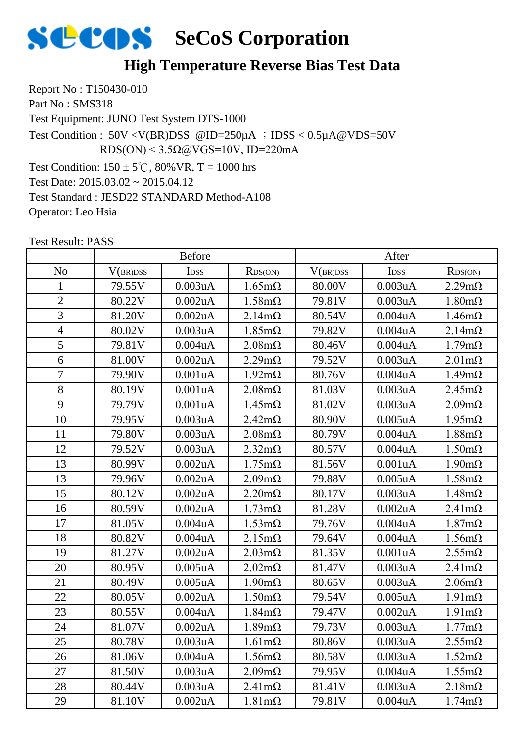

#### **High Temperature Reverse Bias Test Data**

Report No : T150430-010 Part No: SMS318 Test Equipment: JUNO Test System DTS-1000 Test Condition:  $150 \pm 5^{\circ}$ C,  $80\%$  VR, T = 1000 hrs Test Date: 2015.03.02 ~ 2015.04.12 Test Standard : JESD22 STANDARD Method-A108 Operator: Leo Hsia Test Condition :  $50V < V(BR)DSS$  @ID=250 $\mu$ A ; IDSS < 0.5 $\mu$ A @VDS=50V RDS(ON) <  $3.5\Omega$ @VGS=10V, ID=220mA

|                |          | <b>Before</b> |                       |          | After            |                       |
|----------------|----------|---------------|-----------------------|----------|------------------|-----------------------|
| N <sub>o</sub> | V(BR)DSS | IDSS          | RDS(ON)               | V(BR)DSS | I <sub>DSS</sub> | RDS(ON)               |
| $\mathbf{1}$   | 79.55V   | 0.003uA       | $1.65 \text{m}\Omega$ | 80.00V   | 0.003uA          | $2.29m\Omega$         |
| $\overline{2}$ | 80.22V   | 0.002uA       | $1.58 \text{m}\Omega$ | 79.81V   | 0.003uA          | $1.80 \text{m}\Omega$ |
| $\overline{3}$ | 81.20V   | $0.002$ u $A$ | $2.14m\Omega$         | 80.54V   | 0.004uA          | $1.46m\Omega$         |
| $\overline{4}$ | 80.02V   | 0.003uA       | $1.85 \text{m}\Omega$ | 79.82V   | 0.004uA          | $2.14m\Omega$         |
| 5              | 79.81V   | 0.004uA       | $2.08 \text{m}\Omega$ | 80.46V   | 0.004uA          | $1.79m\Omega$         |
| 6              | 81.00V   | $0.002$ u $A$ | $2.29m\Omega$         | 79.52V   | 0.003uA          | $2.01 \text{m}\Omega$ |
| $\overline{7}$ | 79.90V   | 0.001uA       | $1.92 \text{m}\Omega$ | 80.76V   | 0.004uA          | $1.49m\Omega$         |
| 8              | 80.19V   | 0.001uA       | $2.08 \text{m}\Omega$ | 81.03V   | 0.003uA          | $2.45m\Omega$         |
| 9              | 79.79V   | 0.001uA       | $1.45 \text{m}\Omega$ | 81.02V   | 0.003uA          | $2.09m\Omega$         |
| 10             | 79.95V   | 0.003uA       | $2.42 \text{m}\Omega$ | 80.90V   | $0.005$ uA       | $1.95 \text{m}\Omega$ |
| 11             | 79.80V   | 0.003uA       | $2.08 \text{m}\Omega$ | 80.79V   | 0.004uA          | $1.88 \text{m}\Omega$ |
| 12             | 79.52V   | 0.003uA       | $2.32 \text{m}\Omega$ | 80.57V   | 0.004uA          | $1.50 \text{m}\Omega$ |
| 13             | 80.99V   | 0.002uA       | $1.75 \text{m}\Omega$ | 81.56V   | 0.001uA          | $1.90 \text{m}\Omega$ |
| 13             | 79.96V   | 0.002uA       | $2.09m\Omega$         | 79.88V   | $0.005$ u $A$    | $1.58 \text{m}\Omega$ |
| 15             | 80.12V   | 0.002uA       | $2.20 \text{m}\Omega$ | 80.17V   | 0.003uA          | $1.48 \text{m}\Omega$ |
| 16             | 80.59V   | 0.002uA       | $1.73 \text{m}\Omega$ | 81.28V   | 0.002uA          | $2.41 \text{m}\Omega$ |
| 17             | 81.05V   | 0.004uA       | $1.53 \text{m}\Omega$ | 79.76V   | 0.004uA          | $1.87 \text{m}\Omega$ |
| 18             | 80.82V   | 0.004uA       | $2.15 \text{m}\Omega$ | 79.64V   | 0.004uA          | $1.56m\Omega$         |
| 19             | 81.27V   | 0.002uA       | $2.03 \text{m}\Omega$ | 81.35V   | 0.001uA          | $2.55m\Omega$         |
| 20             | 80.95V   | $0.005$ u $A$ | $2.02 \text{m}\Omega$ | 81.47V   | 0.003uA          | $2.41 \text{m}\Omega$ |
| 21             | 80.49V   | $0.005$ u $A$ | $1.90 \text{m}\Omega$ | 80.65V   | 0.003uA          | $2.06 \text{m}\Omega$ |
| 22             | 80.05V   | 0.002uA       | $1.50 \text{m}\Omega$ | 79.54V   | $0.005$ uA       | $1.91 \text{m}\Omega$ |
| 23             | 80.55V   | 0.004uA       | $1.84 \text{m}\Omega$ | 79.47V   | $0.002$ uA       | $1.91 \text{m}\Omega$ |
| 24             | 81.07V   | 0.002uA       | $1.89m\Omega$         | 79.73V   | 0.003uA          | $1.77 \text{m}\Omega$ |
| 25             | 80.78V   | 0.003uA       | $1.61 \text{m}\Omega$ | 80.86V   | 0.003uA          | $2.55 \text{m}\Omega$ |
| 26             | 81.06V   | 0.004uA       | $1.56 \text{m}\Omega$ | 80.58V   | 0.003uA          | $1.52 \text{m}\Omega$ |
| 27             | 81.50V   | 0.003uA       | $2.09m\Omega$         | 79.95V   | 0.004uA          | $1.55 \text{m}\Omega$ |
| 28             | 80.44V   | 0.003uA       | $2.41 \text{m}\Omega$ | 81.41V   | 0.003uA          | $2.18m\Omega$         |
| 29             | 81.10V   | 0.002uA       | $1.81 \text{m}\Omega$ | 79.81V   | $0.004$ u $A$    | $1.74m\Omega$         |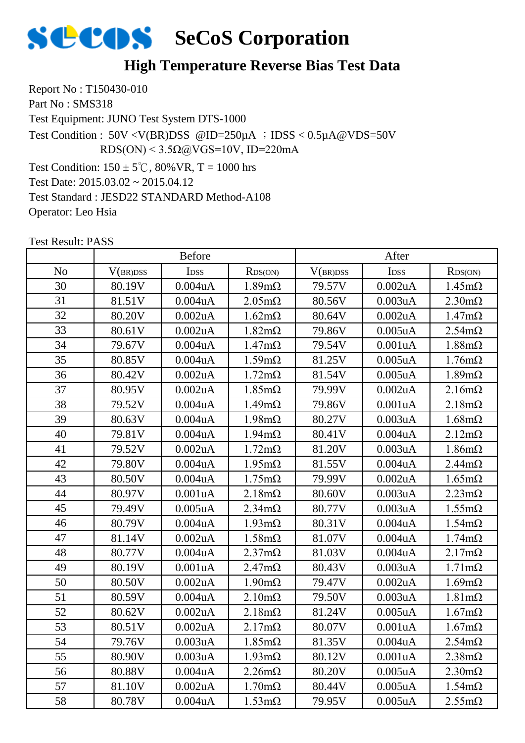

#### **High Temperature Reverse Bias Test Data**

Report No : T150430-010 Part No: SMS318 Test Equipment: JUNO Test System DTS-1000 Test Condition:  $150 \pm 5^{\circ}$ C,  $80\%$  VR, T = 1000 hrs Test Date: 2015.03.02 ~ 2015.04.12 Test Standard : JESD22 STANDARD Method-A108 Operator: Leo Hsia Test Condition :  $50V < V(BR)DSS$  @ID=250 $\mu$ A ; IDSS < 0.5 $\mu$ A @VDS=50V RDS(ON) <  $3.5\Omega$ @VGS=10V, ID=220mA

|                |          | <b>Before</b>    |                       |          | After            |                       |
|----------------|----------|------------------|-----------------------|----------|------------------|-----------------------|
| N <sub>o</sub> | V(BR)DSS | I <sub>DSS</sub> | RDS(ON)               | V(BR)DSS | I <sub>DSS</sub> | RDS(ON)               |
| 30             | 80.19V   | 0.004uA          | $1.89m\Omega$         | 79.57V   | 0.002uA          | $1.45m\Omega$         |
| 31             | 81.51V   | 0.004uA          | $2.05 \text{m}\Omega$ | 80.56V   | 0.003uA          | $2.30 \text{m}\Omega$ |
| 32             | 80.20V   | 0.002uA          | $1.62 \text{m}\Omega$ | 80.64V   | 0.002uA          | $1.47 \text{m}\Omega$ |
| 33             | 80.61V   | 0.002uA          | $1.82 \text{m}\Omega$ | 79.86V   | $0.005$ uA       | $2.54m\Omega$         |
| 34             | 79.67V   | 0.004uA          | $1.47 \text{m}\Omega$ | 79.54V   | 0.001uA          | $1.88 \text{m}\Omega$ |
| 35             | 80.85V   | 0.004uA          | $1.59m\Omega$         | 81.25V   | $0.005$ uA       | $1.76m\Omega$         |
| 36             | 80.42V   | $0.002$ uA       | $1.72 \text{m}\Omega$ | 81.54V   | $0.005$ u $A$    | $1.89m\Omega$         |
| 37             | 80.95V   | 0.002uA          | $1.85 \text{m}\Omega$ | 79.99V   | 0.002uA          | $2.16m\Omega$         |
| 38             | 79.52V   | $0.004$ u $A$    | $1.49m\Omega$         | 79.86V   | 0.001uA          | $2.18m\Omega$         |
| 39             | 80.63V   | 0.004uA          | $1.98 \text{m}\Omega$ | 80.27V   | 0.003uA          | $1.68 \text{m}\Omega$ |
| 40             | 79.81V   | 0.004uA          | $1.94 \text{m}\Omega$ | 80.41V   | 0.004uA          | $2.12 \text{m}\Omega$ |
| 41             | 79.52V   | $0.002$ uA       | $1.72 \text{m}\Omega$ | 81.20V   | 0.003uA          | $1.86 \text{m}\Omega$ |
| 42             | 79.80V   | 0.004uA          | $1.95 \text{m}\Omega$ | 81.55V   | 0.004uA          | $2.44m\Omega$         |
| 43             | 80.50V   | $0.004$ u $A$    | $1.75 \text{m}\Omega$ | 79.99V   | 0.002uA          | $1.65 \text{m}\Omega$ |
| 44             | 80.97V   | 0.001uA          | $2.18 \text{m}\Omega$ | 80.60V   | 0.003uA          | $2.23 \text{m}\Omega$ |
| 45             | 79.49V   | $0.005$ uA       | $2.34m\Omega$         | 80.77V   | 0.003uA          | $1.55 \text{m}\Omega$ |
| 46             | 80.79V   | 0.004uA          | $1.93 \text{m}\Omega$ | 80.31V   | 0.004uA          | $1.54m\Omega$         |
| 47             | 81.14V   | 0.002uA          | $1.58 \text{m}\Omega$ | 81.07V   | 0.004uA          | $1.74 \text{m}\Omega$ |
| 48             | 80.77V   | $0.004$ u $A$    | $2.37 \text{m}\Omega$ | 81.03V   | 0.004uA          | $2.17 \text{m}\Omega$ |
| 49             | 80.19V   | 0.001uA          | $2.47m\Omega$         | 80.43V   | 0.003uA          | $1.71 \text{m}\Omega$ |
| 50             | 80.50V   | 0.002uA          | $1.90 \text{m}\Omega$ | 79.47V   | 0.002uA          | $1.69m\Omega$         |
| 51             | 80.59V   | 0.004uA          | $2.10 \text{m}\Omega$ | 79.50V   | 0.003uA          | $1.81 \text{m}\Omega$ |
| 52             | 80.62V   | 0.002uA          | $2.18m\Omega$         | 81.24V   | $0.005$ uA       | $1.67 \text{m}\Omega$ |
| 53             | 80.51V   | $0.002$ uA       | $2.17 \text{m}\Omega$ | 80.07V   | 0.001uA          | $1.67 \text{m}\Omega$ |
| 54             | 79.76V   | 0.003uA          | $1.85 \text{m}\Omega$ | 81.35V   | 0.004uA          | $2.54m\Omega$         |
| 55             | 80.90V   | 0.003uA          | $1.93 \text{m}\Omega$ | 80.12V   | 0.001uA          | $2.38 \text{m}\Omega$ |
| 56             | 80.88V   | 0.004uA          | $2.26m\Omega$         | 80.20V   | $0.005$ u $A$    | $2.30 \text{m}\Omega$ |
| 57             | 81.10V   | 0.002uA          | $1.70 \text{m}\Omega$ | 80.44V   | $0.005$ uA       | $1.54m\Omega$         |
| 58             | 80.78V   | 0.004uA          | $1.53 \text{mA}$      | 79.95V   | $0.005$ uA       | $2.55 \text{m}\Omega$ |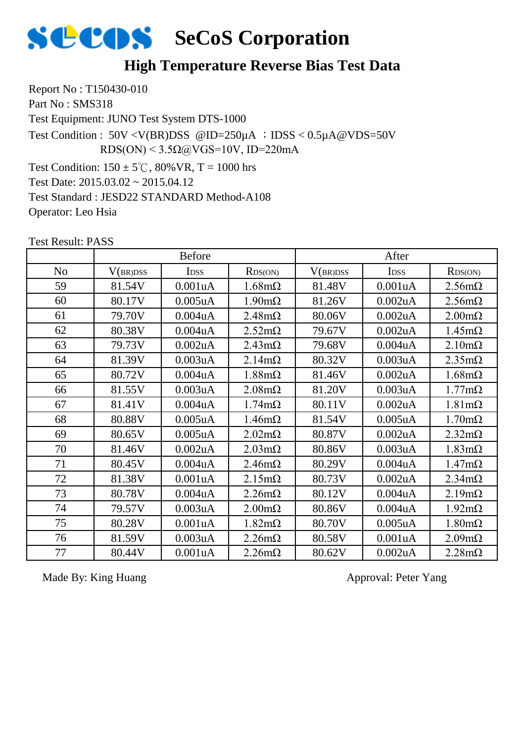

#### **High Temperature Reverse Bias Test Data**

Report No : T150430-010 Part No: SMS318 Test Equipment: JUNO Test System DTS-1000 Test Condition:  $150 \pm 5^{\circ}$ C, 80% VR, T = 1000 hrs Test Date: 2015.03.02 ~ 2015.04.12 Test Standard : JESD22 STANDARD Method-A108 Operator: Leo Hsia Test Condition :  $50V < V(BR)DSS$  @ID=250 $\mu$ A ; IDSS < 0.5 $\mu$ A @VDS=50V RDS(ON) <  $3.5\Omega$ @VGS=10V, ID=220mA

Test Result: PASS

|                |          | <b>Before</b> |                       |          | After            |                       |
|----------------|----------|---------------|-----------------------|----------|------------------|-----------------------|
| N <sub>o</sub> | V(BR)DSS | <b>IDSS</b>   | RDS(ON)               | V(BR)DSS | I <sub>DSS</sub> | RDS(ON)               |
| 59             | 81.54V   | 0.001uA       | $1.68 \text{m}\Omega$ | 81.48V   | 0.001uA          | $2.56 \text{m}\Omega$ |
| 60             | 80.17V   | $0.005$ uA    | $1.90 \text{m}\Omega$ | 81.26V   | $0.002$ uA       | $2.56 \text{m}\Omega$ |
| 61             | 79.70V   | $0.004$ u $A$ | $2.48 \text{m}\Omega$ | 80.06V   | $0.002$ uA       | $2.00 \text{m}\Omega$ |
| 62             | 80.38V   | $0.004$ u $A$ | $2.52 \text{m}\Omega$ | 79.67V   | $0.002$ uA       | $1.45 \text{m}\Omega$ |
| 63             | 79.73V   | $0.002$ u $A$ | $2.43 \text{m}\Omega$ | 79.68V   | $0.004$ u $A$    | $2.10 \text{m}\Omega$ |
| 64             | 81.39V   | 0.003uA       | $2.14 \text{m}\Omega$ | 80.32V   | 0.003uA          | $2.35 \text{m}\Omega$ |
| 65             | 80.72V   | $0.004$ u $A$ | $1.88 \text{m}\Omega$ | 81.46V   | $0.002$ uA       | $1.68 \text{m}\Omega$ |
| 66             | 81.55V   | 0.003uA       | $2.08 \text{m}\Omega$ | 81.20V   | 0.003uA          | $1.77 \text{m}\Omega$ |
| 67             | 81.41V   | 0.004uA       | $1.74 \text{m}\Omega$ | 80.11V   | $0.002$ uA       | $1.81 \text{m}\Omega$ |
| 68             | 80.88V   | $0.005$ uA    | $1.46m\Omega$         | 81.54V   | $0.005$ uA       | $1.70 \text{m}\Omega$ |
| 69             | 80.65V   | $0.005$ u $A$ | $2.02 \text{m}\Omega$ | 80.87V   | $0.002$ uA       | $2.32 \text{m}\Omega$ |
| 70             | 81.46V   | 0.002uA       | $2.03 \text{m}\Omega$ | 80.86V   | 0.003uA          | $1.83 \text{m}\Omega$ |
| 71             | 80.45V   | $0.004$ u $A$ | $2.46m\Omega$         | 80.29V   | $0.004$ u $A$    | $1.47 \text{m}\Omega$ |
| 72             | 81.38V   | 0.001uA       | $2.15 \text{m}\Omega$ | 80.73V   | $0.002$ uA       | $2.34 \text{m}\Omega$ |
| 73             | 80.78V   | $0.004$ u $A$ | $2.26 \text{m}\Omega$ | 80.12V   | $0.004$ u $A$    | $2.19m\Omega$         |
| 74             | 79.57V   | 0.003uA       | $2.00 \text{m}\Omega$ | 80.86V   | $0.004$ u $A$    | $1.92 \text{m}\Omega$ |
| 75             | 80.28V   | 0.001uA       | $1.82 \text{m}\Omega$ | 80.70V   | $0.005$ uA       | $1.80 \text{m}\Omega$ |
| 76             | 81.59V   | 0.003uA       | $2.26 \text{m}\Omega$ | 80.58V   | 0.001uA          | $2.09 \text{m}\Omega$ |
| 77             | 80.44V   | 0.001uA       | $2.26 \text{m}\Omega$ | 80.62V   | $0.002$ uA       | $2.28 \text{m}\Omega$ |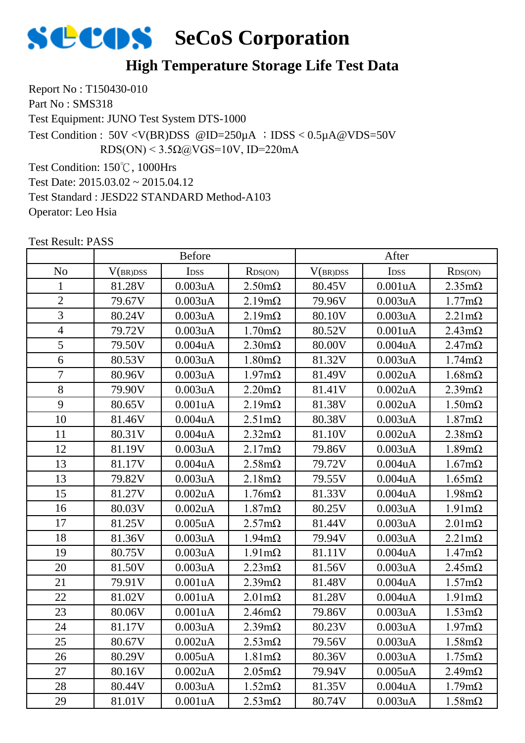

#### **High Temperature Storage Life Test Data**

Report No : T150430-010 Part No: SMS318 Test Equipment: JUNO Test System DTS-1000 Test Condition: 150℃, 1000Hrs Test Condition : 50V <V(BR)DSS @ID=250µA ;IDSS < 0.5µA@VDS=50V RDS(ON) <  $3.5\Omega$ @VGS=10V, ID=220mA

Test Date: 2015.03.02 ~ 2015.04.12 Test Standard : JESD22 STANDARD Method-A103 Operator: Leo Hsia

|                |          | <b>Before</b>    |                       |          | After            |                       |
|----------------|----------|------------------|-----------------------|----------|------------------|-----------------------|
| N <sub>o</sub> | V(BR)DSS | I <sub>DSS</sub> | RDS(ON)               | V(BR)DSS | I <sub>DSS</sub> | RDS(ON)               |
| $\mathbf{1}$   | 81.28V   | 0.003uA          | $2.50 \text{m}\Omega$ | 80.45V   | 0.001uA          | $2.35 \text{m}\Omega$ |
| $\overline{2}$ | 79.67V   | 0.003uA          | $2.19m\Omega$         | 79.96V   | 0.003uA          | $1.77m\Omega$         |
| $\overline{3}$ | 80.24V   | 0.003uA          | $2.19m\Omega$         | 80.10V   | 0.003uA          | $2.21 \text{m}\Omega$ |
| $\overline{4}$ | 79.72V   | 0.003uA          | $1.70 \text{m}\Omega$ | 80.52V   | 0.001uA          | $2.43 \text{m}\Omega$ |
| 5              | 79.50V   | 0.004uA          | $2.30 \text{m}\Omega$ | 80.00V   | $0.004$ u $A$    | $2.47m\Omega$         |
| 6              | 80.53V   | 0.003uA          | $1.80 \text{m}\Omega$ | 81.32V   | 0.003uA          | $1.74 \text{m}\Omega$ |
| $\overline{7}$ | 80.96V   | 0.003uA          | $1.97 \text{m}\Omega$ | 81.49V   | 0.002uA          | $1.68 \text{m}\Omega$ |
| 8              | 79.90V   | 0.003uA          | $2.20 \text{m}\Omega$ | 81.41V   | $0.002$ uA       | $2.39m\Omega$         |
| 9              | 80.65V   | 0.001uA          | $2.19m\Omega$         | 81.38V   | $0.002$ uA       | $1.50 \text{m}\Omega$ |
| 10             | 81.46V   | 0.004uA          | $2.51 \text{m}\Omega$ | 80.38V   | 0.003uA          | $1.87 \text{m}\Omega$ |
| 11             | 80.31V   | 0.004uA          | $2.32 \text{m}\Omega$ | 81.10V   | $0.002$ uA       | $2.38 \text{m}\Omega$ |
| 12             | 81.19V   | 0.003uA          | $2.17m\Omega$         | 79.86V   | 0.003uA          | $1.89m\Omega$         |
| 13             | 81.17V   | 0.004uA          | $2.58 \text{m}\Omega$ | 79.72V   | 0.004uA          | $1.67 \text{m}\Omega$ |
| 13             | 79.82V   | 0.003uA          | $2.18m\Omega$         | 79.55V   | 0.004uA          | $1.65 \text{m}\Omega$ |
| 15             | 81.27V   | 0.002uA          | $1.76 \text{m}\Omega$ | 81.33V   | 0.004uA          | $1.98 \text{m}\Omega$ |
| 16             | 80.03V   | 0.002uA          | $1.87 \text{m}\Omega$ | 80.25V   | 0.003uA          | $1.91 \text{m}\Omega$ |
| 17             | 81.25V   | $0.005$ uA       | $2.57 \text{m}\Omega$ | 81.44V   | 0.003uA          | $2.01 \text{m}\Omega$ |
| 18             | 81.36V   | 0.003uA          | $1.94 \text{m}\Omega$ | 79.94V   | 0.003uA          | $2.21 \text{m}\Omega$ |
| 19             | 80.75V   | 0.003uA          | $1.91 \text{m}\Omega$ | 81.11V   | 0.004uA          | $1.47m\Omega$         |
| 20             | 81.50V   | 0.003uA          | $2.23 \text{m}\Omega$ | 81.56V   | 0.003uA          | $2.45m\Omega$         |
| 21             | 79.91V   | 0.001uA          | $2.39 \text{m}\Omega$ | 81.48V   | $0.004$ u $A$    | $1.57 \text{m}\Omega$ |
| 22             | 81.02V   | 0.001uA          | $2.01 \text{m}\Omega$ | 81.28V   | 0.004uA          | $1.91 \text{m}\Omega$ |
| 23             | 80.06V   | 0.001uA          | $2.46m\Omega$         | 79.86V   | 0.003uA          | $1.53 \text{m}\Omega$ |
| 24             | 81.17V   | 0.003uA          | $2.39 \text{m}\Omega$ | 80.23V   | 0.003uA          | $1.97 \text{m}\Omega$ |
| 25             | 80.67V   | 0.002uA          | $2.53 \text{mA}$      | 79.56V   | 0.003uA          | $1.58 \text{m}\Omega$ |
| 26             | 80.29V   | $0.005$ uA       | $1.81 \text{m}\Omega$ | 80.36V   | 0.003uA          | $1.75 \text{m}\Omega$ |
| 27             | 80.16V   | 0.002uA          | $2.05 \text{m}\Omega$ | 79.94V   | $0.005$ uA       | $2.49m\Omega$         |
| 28             | 80.44V   | 0.003uA          | $1.52 \text{m}\Omega$ | 81.35V   | 0.004uA          | $1.79m\Omega$         |
| 29             | 81.01V   | 0.001uA          | $2.53 \text{mA}$      | 80.74V   | 0.003uA          | $1.58 \text{m}\Omega$ |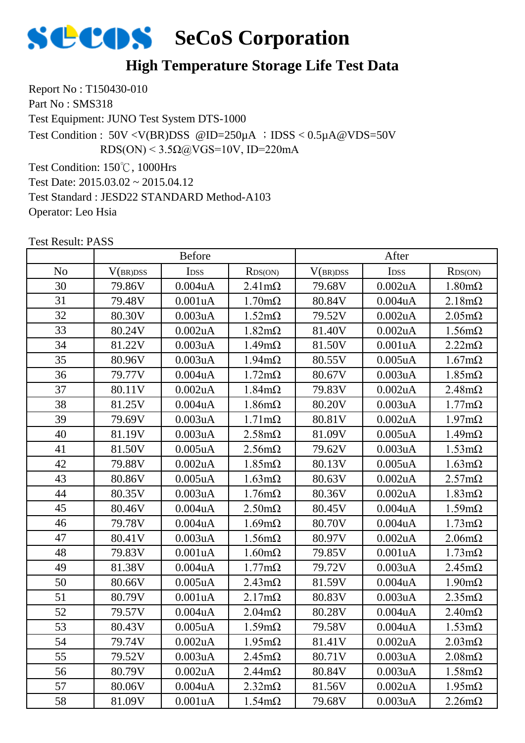

#### **High Temperature Storage Life Test Data**

Report No : T150430-010 Part No: SMS318 Test Equipment: JUNO Test System DTS-1000 Test Condition: 150℃, 1000Hrs Test Condition : 50V <V(BR)DSS @ID=250µA ;IDSS < 0.5µA@VDS=50V RDS(ON) <  $3.5\Omega$ @VGS=10V, ID=220mA

Test Date: 2015.03.02 ~ 2015.04.12 Test Standard : JESD22 STANDARD Method-A103 Operator: Leo Hsia

|                |          | <b>Before</b>    |                       |          | After            |                       |
|----------------|----------|------------------|-----------------------|----------|------------------|-----------------------|
| N <sub>o</sub> | V(BR)DSS | I <sub>DSS</sub> | RDS(ON)               | V(BR)DSS | I <sub>DSS</sub> | RDS(ON)               |
| 30             | 79.86V   | 0.004uA          | $2.41 \text{m}\Omega$ | 79.68V   | 0.002uA          | $1.80 \text{m}\Omega$ |
| 31             | 79.48V   | 0.001uA          | $1.70 \text{m}\Omega$ | 80.84V   | 0.004uA          | $2.18m\Omega$         |
| 32             | 80.30V   | 0.003uA          | $1.52 \text{m}\Omega$ | 79.52V   | 0.002uA          | $2.05 \text{m}\Omega$ |
| 33             | 80.24V   | 0.002uA          | $1.82 \text{m}\Omega$ | 81.40V   | $0.002$ uA       | $1.56 \text{m}\Omega$ |
| 34             | 81.22V   | 0.003uA          | $1.49m\Omega$         | 81.50V   | 0.001uA          | $2.22m\Omega$         |
| 35             | 80.96V   | 0.003uA          | $1.94 \text{m}\Omega$ | 80.55V   | $0.005$ uA       | $1.67 \text{m}\Omega$ |
| 36             | 79.77V   | 0.004uA          | $1.72 \text{m}\Omega$ | 80.67V   | 0.003uA          | $1.85 \text{m}\Omega$ |
| 37             | 80.11V   | 0.002uA          | $1.84 \text{m}\Omega$ | 79.83V   | 0.002uA          | $2.48 \text{m}\Omega$ |
| 38             | 81.25V   | $0.004$ u $A$    | $1.86 \text{m}\Omega$ | 80.20V   | 0.003uA          | $1.77 \text{m}\Omega$ |
| 39             | 79.69V   | 0.003uA          | $1.71 \text{m}\Omega$ | 80.81V   | 0.002uA          | $1.97 \text{m}\Omega$ |
| 40             | 81.19V   | 0.003uA          | $2.58 \text{m}\Omega$ | 81.09V   | $0.005$ uA       | $1.49m\Omega$         |
| 41             | 81.50V   | $0.005$ uA       | $2.56 \text{m}\Omega$ | 79.62V   | 0.003uA          | $1.53 \text{m}\Omega$ |
| 42             | 79.88V   | 0.002uA          | $1.85 \text{m}\Omega$ | 80.13V   | $0.005$ uA       | $1.63 \text{m}\Omega$ |
| 43             | 80.86V   | $0.005$ uA       | $1.63 \text{m}\Omega$ | 80.63V   | 0.002uA          | $2.57 \text{m}\Omega$ |
| 44             | 80.35V   | 0.003uA          | $1.76m\Omega$         | 80.36V   | 0.002uA          | $1.83 \text{m}\Omega$ |
| 45             | 80.46V   | 0.004uA          | $2.50 \text{m}\Omega$ | 80.45V   | 0.004uA          | $1.59m\Omega$         |
| 46             | 79.78V   | 0.004uA          | $1.69m\Omega$         | 80.70V   | 0.004uA          | $1.73 \text{m}\Omega$ |
| 47             | 80.41V   | 0.003uA          | $1.56m\Omega$         | 80.97V   | 0.002uA          | $2.06 \text{m}\Omega$ |
| 48             | 79.83V   | 0.001uA          | $1.60 \text{m}\Omega$ | 79.85V   | 0.001uA          | $1.73 \text{m}\Omega$ |
| 49             | 81.38V   | 0.004uA          | $1.77 \text{m}\Omega$ | 79.72V   | 0.003uA          | $2.45m\Omega$         |
| 50             | 80.66V   | $0.005$ uA       | $2.43 \text{m}\Omega$ | 81.59V   | 0.004uA          | $1.90 \text{m}\Omega$ |
| 51             | 80.79V   | 0.001uA          | $2.17m\Omega$         | 80.83V   | 0.003uA          | $2.35 \text{m}\Omega$ |
| 52             | 79.57V   | 0.004uA          | $2.04m\Omega$         | 80.28V   | 0.004uA          | $2.40 \text{m}\Omega$ |
| 53             | 80.43V   | $0.005$ uA       | $1.59m\Omega$         | 79.58V   | 0.004uA          | $1.53 \text{m}\Omega$ |
| 54             | 79.74V   | 0.002uA          | $1.95 \text{m}\Omega$ | 81.41V   | 0.002uA          | $2.03 \text{m}\Omega$ |
| 55             | 79.52V   | 0.003uA          | $2.45m\Omega$         | 80.71V   | 0.003uA          | $2.08 \text{m}\Omega$ |
| 56             | 80.79V   | 0.002uA          | $2.44$ m $\Omega$     | 80.84V   | 0.003uA          | $1.58 \text{m}\Omega$ |
| 57             | 80.06V   | 0.004uA          | $2.32 \text{m}\Omega$ | 81.56V   | 0.002uA          | $1.95 \text{m}\Omega$ |
| 58             | 81.09V   | 0.001uA          | $1.54m\Omega$         | 79.68V   | 0.003uA          | $2.26m\Omega$         |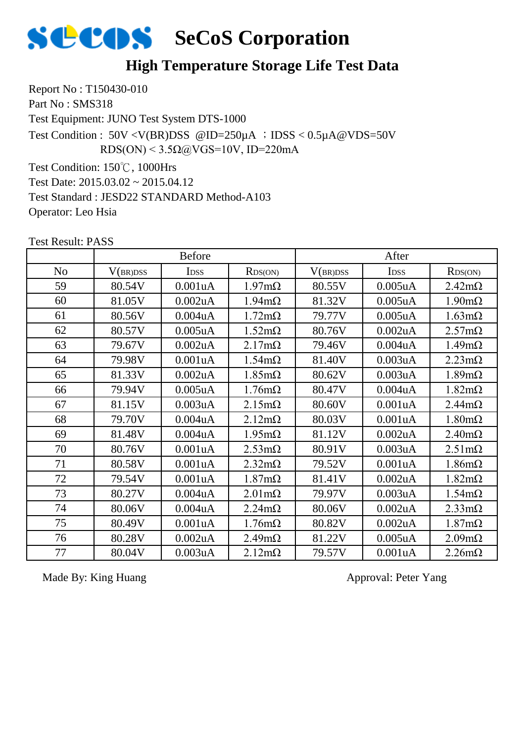

#### **High Temperature Storage Life Test Data**

Report No : T150430-010 Part No: SMS318 Test Equipment: JUNO Test System DTS-1000 Test Condition: 150℃, 1000Hrs Test Condition :  $50V < V(BR)DSS$  @ID=250 $\mu$ A ; IDSS < 0.5 $\mu$ A @VDS=50V RDS(ON) <  $3.5\Omega$ @VGS=10V, ID=220mA

Test Date: 2015.03.02 ~ 2015.04.12 Test Standard : JESD22 STANDARD Method-A103 Operator: Leo Hsia

Test Result: PASS

|                |          | <b>Before</b>    |                       |          | After         |                       |
|----------------|----------|------------------|-----------------------|----------|---------------|-----------------------|
| N <sub>o</sub> | V(BR)DSS | I <sub>DSS</sub> | RDS(ON)               | V(BR)DSS | <b>IDSS</b>   | RDS(ON)               |
| 59             | 80.54V   | 0.001uA          | $1.97 \text{m}\Omega$ | 80.55V   | $0.005$ uA    | $2.42 \text{m}\Omega$ |
| 60             | 81.05V   | $0.002$ uA       | $1.94 \text{m}\Omega$ | 81.32V   | $0.005$ uA    | $1.90 \text{m}\Omega$ |
| 61             | 80.56V   | 0.004uA          | $1.72 \text{m}\Omega$ | 79.77V   | $0.005$ uA    | $1.63 \text{m}\Omega$ |
| 62             | 80.57V   | $0.005$ uA       | $1.52 \text{m}\Omega$ | 80.76V   | $0.002$ uA    | $2.57 \text{m}\Omega$ |
| 63             | 79.67V   | $0.002$ u $A$    | $2.17 \text{m}\Omega$ | 79.46V   | 0.004uA       | $1.49m\Omega$         |
| 64             | 79.98V   | 0.001uA          | $1.54 \text{m}\Omega$ | 81.40V   | 0.003uA       | $2.23 \text{m}\Omega$ |
| 65             | 81.33V   | $0.002$ uA       | $1.85 \text{m}\Omega$ | 80.62V   | 0.003uA       | $1.89m\Omega$         |
| 66             | 79.94V   | $0.005$ uA       | $1.76m\Omega$         | 80.47V   | $0.004$ u $A$ | $1.82 \text{m}\Omega$ |
| 67             | 81.15V   | 0.003uA          | $2.15 \text{m}\Omega$ | 80.60V   | 0.001uA       | $2.44 \text{m}\Omega$ |
| 68             | 79.70V   | 0.004uA          | $2.12 \text{m}\Omega$ | 80.03V   | 0.001uA       | $1.80 \text{m}\Omega$ |
| 69             | 81.48V   | 0.004uA          | $1.95 \text{m}\Omega$ | 81.12V   | $0.002$ uA    | $2.40 \text{m}\Omega$ |
| 70             | 80.76V   | 0.001uA          | $2.53 \text{m}\Omega$ | 80.91V   | 0.003uA       | $2.51 \text{m}\Omega$ |
| 71             | 80.58V   | 0.001uA          | $2.32 \text{m}\Omega$ | 79.52V   | 0.001uA       | $1.86 \text{m}\Omega$ |
| 72             | 79.54V   | 0.001uA          | $1.87 \text{m}\Omega$ | 81.41V   | $0.002$ uA    | $1.82 \text{m}\Omega$ |
| 73             | 80.27V   | 0.004uA          | $2.01 \text{m}\Omega$ | 79.97V   | 0.003uA       | $1.54 \text{m}\Omega$ |
| 74             | 80.06V   | $0.004$ u $A$    | $2.24m\Omega$         | 80.06V   | 0.002uA       | $2.33 \text{m}\Omega$ |
| 75             | 80.49V   | 0.001uA          | $1.76 \text{m}\Omega$ | 80.82V   | $0.002$ uA    | $1.87 \text{m}\Omega$ |
| 76             | 80.28V   | 0.002uA          | $2.49m\Omega$         | 81.22V   | $0.005$ uA    | 2.09 <sub>m</sub>     |
| 77             | 80.04V   | 0.003uA          | $2.12 \text{m}\Omega$ | 79.57V   | 0.001uA       | $2.26 \text{m}\Omega$ |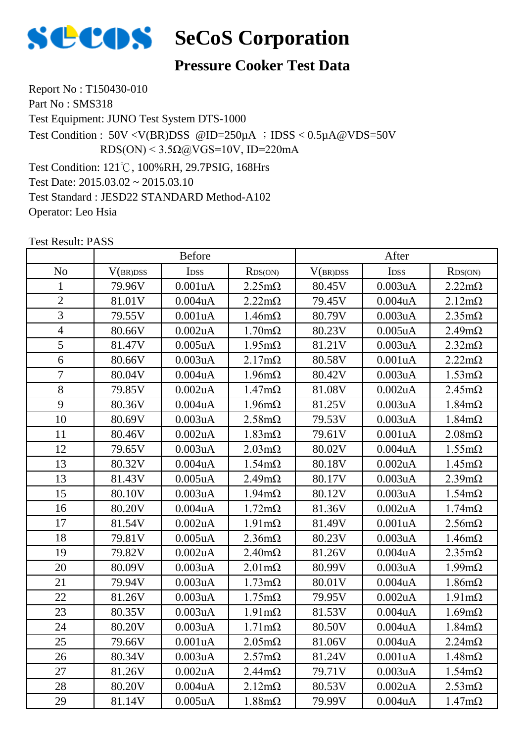

#### **Pressure Cooker Test Data**

Report No : T150430-010 Part No: SMS318 Test Equipment: JUNO Test System DTS-1000 Test Condition: 121℃, 100%RH, 29.7PSIG, 168Hrs Test Date: 2015.03.02 ~ 2015.03.10 Test Standard : JESD22 STANDARD Method-A102 Operator: Leo Hsia Test Condition : 50V <V(BR)DSS @ID=250µA ; IDSS < 0.5µA@VDS=50V RDS(ON) <  $3.5\Omega$ @VGS=10V, ID=220mA

|                | <b>Before</b> |                  |                       | After    |                  |                       |
|----------------|---------------|------------------|-----------------------|----------|------------------|-----------------------|
| N <sub>o</sub> | V(BR)DSS      | I <sub>DSS</sub> | RDS(ON)               | V(BR)DSS | I <sub>DSS</sub> | RDS(ON)               |
| $\mathbf{1}$   | 79.96V        | 0.001uA          | $2.25 \text{m}\Omega$ | 80.45V   | 0.003uA          | $2.22 \text{m}\Omega$ |
| $\overline{2}$ | 81.01V        | 0.004uA          | $2.22 \text{m}\Omega$ | 79.45V   | $0.004$ u $A$    | $2.12 \text{m}\Omega$ |
| $\overline{3}$ | 79.55V        | 0.001uA          | $1.46m\Omega$         | 80.79V   | 0.003uA          | $2.35 \text{m}\Omega$ |
| $\overline{4}$ | 80.66V        | 0.002uA          | $1.70 \text{m}\Omega$ | 80.23V   | $0.005$ uA       | $2.49m\Omega$         |
| 5              | 81.47V        | 0.005uA          | $1.95 \text{m}\Omega$ | 81.21V   | 0.003uA          | $2.32 \text{m}\Omega$ |
| 6              | 80.66V        | 0.003uA          | $2.17m\Omega$         | 80.58V   | 0.001uA          | $2.22m\Omega$         |
| $\overline{7}$ | 80.04V        | 0.004uA          | $1.96 \text{m}\Omega$ | 80.42V   | 0.003uA          | $1.53 \text{m}\Omega$ |
| 8              | 79.85V        | 0.002uA          | $1.47 \text{m}\Omega$ | 81.08V   | 0.002uA          | $2.45m\Omega$         |
| 9              | 80.36V        | 0.004uA          | $1.96 \text{m}\Omega$ | 81.25V   | 0.003uA          | $1.84 \text{m}\Omega$ |
| 10             | 80.69V        | 0.003uA          | $2.58 \text{m}\Omega$ | 79.53V   | 0.003uA          | $1.84m\Omega$         |
| 11             | 80.46V        | $0.002$ uA       | $1.83 \text{m}\Omega$ | 79.61V   | 0.001uA          | $2.08 \text{m}\Omega$ |
| 12             | 79.65V        | 0.003uA          | $2.03 \text{mA}$      | 80.02V   | 0.004uA          | $1.55 \text{m}\Omega$ |
| 13             | 80.32V        | 0.004uA          | $1.54m\Omega$         | 80.18V   | $0.002$ uA       | $1.45m\Omega$         |
| 13             | 81.43V        | 0.005uA          | $2.49m\Omega$         | 80.17V   | 0.003uA          | $2.39m\Omega$         |
| 15             | 80.10V        | 0.003uA          | $1.94 \text{m}\Omega$ | 80.12V   | 0.003uA          | $1.54m\Omega$         |
| 16             | 80.20V        | 0.004uA          | $1.72 \text{m}\Omega$ | 81.36V   | $0.002$ uA       | $1.74 \text{m}\Omega$ |
| 17             | 81.54V        | 0.002uA          | $1.91 \text{m}\Omega$ | 81.49V   | 0.001uA          | $2.56 \text{m}\Omega$ |
| 18             | 79.81V        | $0.005$ u $A$    | $2.36 \text{m}\Omega$ | 80.23V   | 0.003uA          | $1.46m\Omega$         |
| 19             | 79.82V        | 0.002uA          | $2.40 \text{m}\Omega$ | 81.26V   | 0.004uA          | $2.35 \text{m}\Omega$ |
| 20             | 80.09V        | 0.003uA          | $2.01 \text{m}\Omega$ | 80.99V   | 0.003uA          | $1.99m\Omega$         |
| 21             | 79.94V        | 0.003uA          | $1.73 \text{m}\Omega$ | 80.01V   | 0.004uA          | $1.86m\Omega$         |
| 22             | 81.26V        | 0.003uA          | $1.75 \text{m}\Omega$ | 79.95V   | 0.002uA          | $1.91 \text{m}\Omega$ |
| 23             | 80.35V        | 0.003uA          | $1.91 \text{m}\Omega$ | 81.53V   | 0.004uA          | $1.69m\Omega$         |
| 24             | 80.20V        | 0.003uA          | $1.71 \text{m}\Omega$ | 80.50V   | 0.004uA          | $1.84 \text{m}\Omega$ |
| 25             | 79.66V        | 0.001uA          | $2.05 \text{m}\Omega$ | 81.06V   | $0.004$ u $A$    | $2.24m\Omega$         |
| 26             | 80.34V        | 0.003uA          | $2.57 \text{m}\Omega$ | 81.24V   | 0.001uA          | $1.48m\Omega$         |
| 27             | 81.26V        | 0.002uA          | $2.44 \text{m}\Omega$ | 79.71V   | 0.003uA          | $1.54m\Omega$         |
| 28             | 80.20V        | 0.004uA          | $2.12 \text{m}\Omega$ | 80.53V   | 0.002uA          | $2.53 \text{m}\Omega$ |
| 29             | 81.14V        | $0.005$ u $A$    | $1.88 \text{m}\Omega$ | 79.99V   | $0.004$ u $A$    | $1.47m\Omega$         |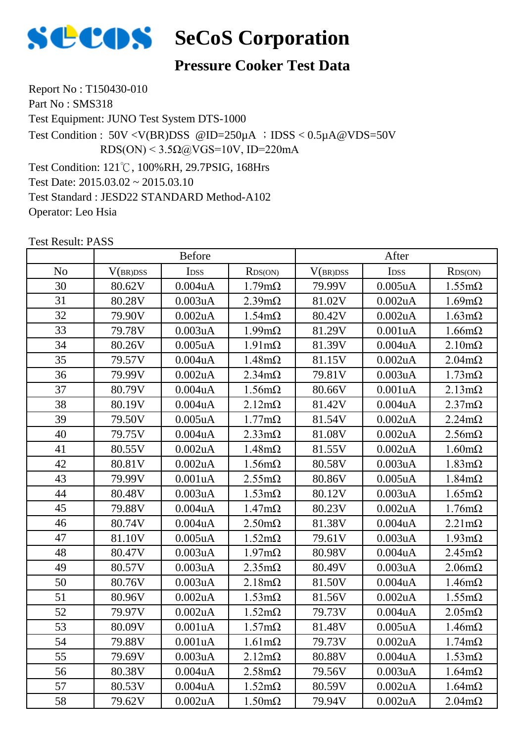

#### **Pressure Cooker Test Data**

Report No : T150430-010 Part No: SMS318 Test Equipment: JUNO Test System DTS-1000 Test Condition: 121℃, 100%RH, 29.7PSIG, 168Hrs Test Date: 2015.03.02 ~ 2015.03.10 Test Standard : JESD22 STANDARD Method-A102 Operator: Leo Hsia Test Condition : 50V <V(BR)DSS @ID=250µA ; IDSS < 0.5µA@VDS=50V RDS(ON) <  $3.5\Omega$ @VGS=10V, ID=220mA

|                | <b>Before</b> |                  |                       | After    |                  |                       |
|----------------|---------------|------------------|-----------------------|----------|------------------|-----------------------|
| N <sub>o</sub> | V(BR)DSS      | I <sub>DSS</sub> | RDS(ON)               | V(BR)DSS | I <sub>DSS</sub> | RDS(ON)               |
| 30             | 80.62V        | 0.004uA          | $1.79m\Omega$         | 79.99V   | $0.005$ uA       | $1.55 \text{m}\Omega$ |
| 31             | 80.28V        | 0.003uA          | $2.39m\Omega$         | 81.02V   | 0.002uA          | $1.69m\Omega$         |
| 32             | 79.90V        | 0.002uA          | $1.54 \text{m}\Omega$ | 80.42V   | $0.002$ uA       | $1.63 \text{m}\Omega$ |
| 33             | 79.78V        | 0.003uA          | $1.99 \text{m}\Omega$ | 81.29V   | 0.001uA          | $1.66 \text{m}\Omega$ |
| 34             | 80.26V        | 0.005uA          | $1.91 \text{m}\Omega$ | 81.39V   | 0.004uA          | $2.10 \text{m}\Omega$ |
| 35             | 79.57V        | 0.004uA          | $1.48m\Omega$         | 81.15V   | $0.002$ uA       | $2.04m\Omega$         |
| 36             | 79.99V        | 0.002uA          | $2.34 \text{m}\Omega$ | 79.81V   | 0.003uA          | $1.73 \text{m}\Omega$ |
| 37             | 80.79V        | 0.004uA          | $1.56 \text{m}\Omega$ | 80.66V   | 0.001uA          | $2.13 \text{m}\Omega$ |
| 38             | 80.19V        | 0.004uA          | $2.12 \text{m}\Omega$ | 81.42V   | 0.004uA          | $2.37 \text{m}\Omega$ |
| 39             | 79.50V        | $0.005$ uA       | $1.77 \text{m}\Omega$ | 81.54V   | 0.002uA          | $2.24m\Omega$         |
| 40             | 79.75V        | 0.004uA          | $2.33 \text{mA}$      | 81.08V   | $0.002$ uA       | $2.56 \text{m}\Omega$ |
| 41             | 80.55V        | 0.002uA          | $1.48 \text{m}\Omega$ | 81.55V   | 0.002uA          | $1.60 \text{m}\Omega$ |
| 42             | 80.81V        | 0.002uA          | $1.56 \text{m}\Omega$ | 80.58V   | 0.003uA          | $1.83 \text{m}\Omega$ |
| 43             | 79.99V        | 0.001uA          | $2.55 \text{m}\Omega$ | 80.86V   | $0.005$ uA       | $1.84 \text{m}\Omega$ |
| 44             | 80.48V        | 0.003uA          | $1.53 \text{m}\Omega$ | 80.12V   | 0.003uA          | $1.65 \text{m}\Omega$ |
| 45             | 79.88V        | 0.004uA          | $1.47 \text{m}\Omega$ | 80.23V   | 0.002uA          | $1.76m\Omega$         |
| 46             | 80.74V        | 0.004uA          | $2.50 \text{m}\Omega$ | 81.38V   | $0.004$ u $A$    | $2.21 \text{m}\Omega$ |
| 47             | 81.10V        | $0.005$ uA       | $1.52 \text{m}\Omega$ | 79.61V   | 0.003uA          | $1.93 \text{m}\Omega$ |
| 48             | 80.47V        | 0.003uA          | $1.97 \text{m}\Omega$ | 80.98V   | 0.004uA          | $2.45m\Omega$         |
| 49             | 80.57V        | 0.003uA          | $2.35 \text{m}\Omega$ | 80.49V   | 0.003uA          | $2.06 \text{m}\Omega$ |
| 50             | 80.76V        | 0.003uA          | $2.18m\Omega$         | 81.50V   | 0.004uA          | $1.46m\Omega$         |
| 51             | 80.96V        | $0.002$ u $A$    | $1.53 \text{mA}$      | 81.56V   | 0.002uA          | $1.55 \text{m}\Omega$ |
| 52             | 79.97V        | 0.002uA          | $1.52 \text{m}\Omega$ | 79.73V   | $0.004$ u $A$    | $2.05 \text{m}\Omega$ |
| 53             | 80.09V        | 0.001uA          | $1.57 \text{m}\Omega$ | 81.48V   | $0.005$ uA       | $1.46m\Omega$         |
| 54             | 79.88V        | 0.001uA          | $1.61 \text{m}\Omega$ | 79.73V   | 0.002uA          | $1.74 \text{m}\Omega$ |
| 55             | 79.69V        | 0.003uA          | $2.12 \text{m}\Omega$ | 80.88V   | 0.004uA          | $1.53 \text{m}\Omega$ |
| 56             | 80.38V        | 0.004uA          | $2.58 \text{m}\Omega$ | 79.56V   | 0.003uA          | $1.64 \text{m}\Omega$ |
| 57             | 80.53V        | 0.004uA          | $1.52 \text{m}\Omega$ | 80.59V   | 0.002uA          | $1.64 \text{m}\Omega$ |
| 58             | 79.62V        | 0.002uA          | $1.50 \text{m}\Omega$ | 79.94V   | 0.002uA          | $2.04m\Omega$         |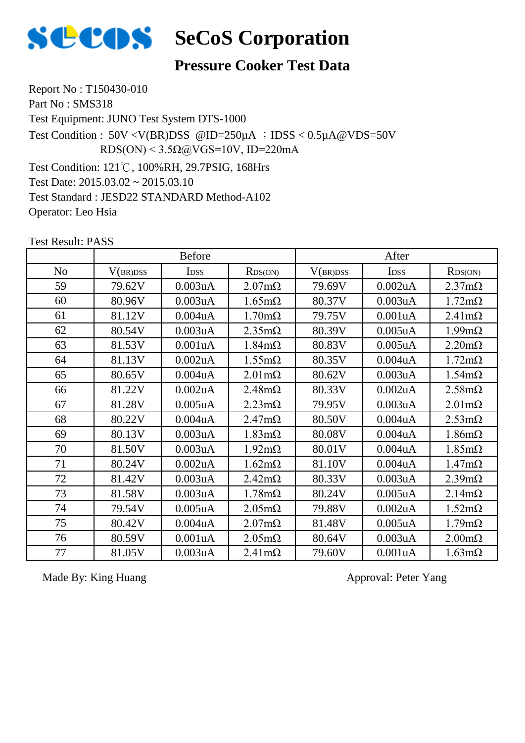

### **Pressure Cooker Test Data**

Report No : T150430-010 Part No: SMS318 Test Equipment: JUNO Test System DTS-1000 Test Condition: 121℃, 100%RH, 29.7PSIG, 168Hrs Test Date: 2015.03.02 ~ 2015.03.10 Test Standard : JESD22 STANDARD Method-A102 Operator: Leo Hsia Test Condition :  $50V < V(BR)DSS$  @ID=250 $\mu$ A ; IDSS < 0.5 $\mu$ A @VDS=50V RDS(ON) <  $3.5\Omega$ @VGS=10V, ID=220mA

Test Result: PASS

|                | <b>Before</b> |                  |                       | After    |                      |                       |
|----------------|---------------|------------------|-----------------------|----------|----------------------|-----------------------|
| N <sub>o</sub> | V(BR)DSS      | I <sub>DSS</sub> | RDS(ON)               | V(BR)DSS | <b>IDSS</b>          | RDS(ON)               |
| 59             | 79.62V        | 0.003uA          | $2.07 \text{m}\Omega$ | 79.69V   | $0.002$ uA           | $2.37 \text{m}\Omega$ |
| 60             | 80.96V        | 0.003uA          | $1.65 \text{m}\Omega$ | 80.37V   | 0.003uA              | $1.72 \text{m}\Omega$ |
| 61             | 81.12V        | 0.004uA          | $1.70 \text{m}\Omega$ | 79.75V   | 0.001uA              | $2.41 \text{m}\Omega$ |
| 62             | 80.54V        | 0.003uA          | $2.35 \text{m}\Omega$ | 80.39V   | $0.005$ uA           | $1.99 \text{m}\Omega$ |
| 63             | 81.53V        | 0.001uA          | $1.84 \text{m}\Omega$ | 80.83V   | $0.005$ uA           | $2.20 \text{m}\Omega$ |
| 64             | 81.13V        | 0.002uA          | $1.55 \text{m}\Omega$ | 80.35V   | $0.004$ u $A$        | $1.72 \text{m}\Omega$ |
| 65             | 80.65V        | $0.004$ u $A$    | $2.01 \text{m}\Omega$ | 80.62V   | 0.003uA              | $1.54 \text{m}\Omega$ |
| 66             | 81.22V        | 0.002uA          | $2.48m\Omega$         | 80.33V   | $0.002$ uA           | $2.58 \text{m}\Omega$ |
| 67             | 81.28V        | $0.005$ uA       | $2.23 \text{m}\Omega$ | 79.95V   | 0.003uA              | $2.01 \text{m}\Omega$ |
| 68             | 80.22V        | 0.004uA          | $2.47 \text{m}\Omega$ | 80.50V   | $0.004$ u $A$        | $2.53 \text{m}\Omega$ |
| 69             | 80.13V        | 0.003uA          | $1.83 \text{m}\Omega$ | 80.08V   | 0.004 <sub>u</sub> A | $1.86m\Omega$         |
| 70             | 81.50V        | 0.003uA          | $1.92 \text{m}\Omega$ | 80.01V   | $0.004$ u $A$        | $1.85 \text{m}\Omega$ |
| 71             | 80.24V        | $0.002$ u $A$    | $1.62 \text{m}\Omega$ | 81.10V   | $0.004$ u $A$        | $1.47 \text{m}\Omega$ |
| 72             | 81.42V        | 0.003uA          | $2.42 \text{m}\Omega$ | 80.33V   | 0.003uA              | $2.39 \text{m}\Omega$ |
| 73             | 81.58V        | 0.003uA          | $1.78m\Omega$         | 80.24V   | $0.005$ uA           | $2.14m\Omega$         |
| 74             | 79.54V        | $0.005$ u $A$    | $2.05 \text{m}\Omega$ | 79.88V   | $0.002$ uA           | $1.52 \text{m}\Omega$ |
| 75             | 80.42V        | $0.004$ u $A$    | $2.07 \text{m}\Omega$ | 81.48V   | $0.005$ uA           | $1.79m\Omega$         |
| 76             | 80.59V        | 0.001uA          | $2.05 \text{m}\Omega$ | 80.64V   | 0.003uA              | $2.00 \text{m}\Omega$ |
| 77             | 81.05V        | 0.003uA          | $2.41 \text{m}\Omega$ | 79.60V   | 0.001uA              | $1.63 \text{m}\Omega$ |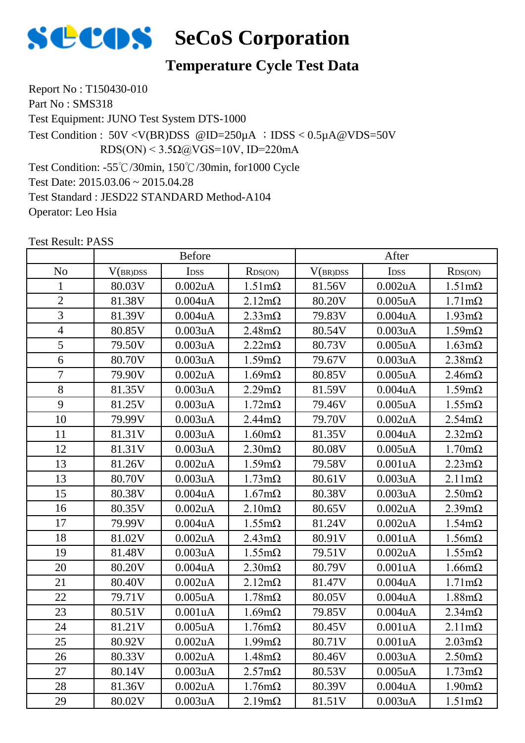

#### **Temperature Cycle Test Data**

Report No : T150430-010 Part No: SMS318 Test Equipment: JUNO Test System DTS-1000 Test Condition: -55℃/30min, 150℃/30min, for1000 Cycle Test Condition : 50V <V(BR)DSS @ID=250µA ;IDSS < 0.5µA@VDS=50V RDS(ON) <  $3.5\Omega$ @VGS=10V, ID=220mA

Test Date: 2015.03.06 ~ 2015.04.28 Test Standard : JESD22 STANDARD Method-A104 Operator: Leo Hsia

|                | <b>Before</b> |                  |                       | After    |                  |                       |
|----------------|---------------|------------------|-----------------------|----------|------------------|-----------------------|
| N <sub>o</sub> | V(BR)DSS      | I <sub>DSS</sub> | RDS(ON)               | V(BR)DSS | I <sub>DSS</sub> | RDS(ON)               |
| 1              | 80.03V        | 0.002uA          | $1.51 \text{m}\Omega$ | 81.56V   | $0.002$ uA       | $1.51 \text{m}\Omega$ |
| $\overline{2}$ | 81.38V        | 0.004uA          | $2.12 \text{m}\Omega$ | 80.20V   | $0.005$ uA       | $1.71 \text{m}\Omega$ |
| $\overline{3}$ | 81.39V        | 0.004uA          | $2.33 \text{mA}$      | 79.83V   | 0.004uA          | $1.93 \text{m}\Omega$ |
| $\overline{4}$ | 80.85V        | 0.003uA          | $2.48 \text{m}\Omega$ | 80.54V   | 0.003uA          | $1.59m\Omega$         |
| 5              | 79.50V        | 0.003uA          | $2.22 \text{m}\Omega$ | 80.73V   | $0.005$ uA       | $1.63 \text{m}\Omega$ |
| 6              | 80.70V        | 0.003uA          | $1.59m\Omega$         | 79.67V   | 0.003uA          | $2.38 \text{m}\Omega$ |
| $\overline{7}$ | 79.90V        | 0.002uA          | $1.69m\Omega$         | 80.85V   | $0.005$ uA       | $2.46m\Omega$         |
| 8              | 81.35V        | 0.003uA          | $2.29 \text{m}\Omega$ | 81.59V   | 0.004uA          | $1.59m\Omega$         |
| 9              | 81.25V        | 0.003uA          | $1.72 \text{m}\Omega$ | 79.46V   | $0.005$ uA       | $1.55 \text{m}\Omega$ |
| 10             | 79.99V        | 0.003uA          | $2.44m\Omega$         | 79.70V   | 0.002uA          | $2.54m\Omega$         |
| 11             | 81.31V        | 0.003uA          | $1.60 \text{m}\Omega$ | 81.35V   | 0.004uA          | $2.32 \text{m}\Omega$ |
| 12             | 81.31V        | 0.003uA          | $2.30 \text{m}\Omega$ | 80.08V   | $0.005$ uA       | $1.70 \text{m}\Omega$ |
| 13             | 81.26V        | 0.002uA          | $1.59m\Omega$         | 79.58V   | 0.001uA          | $2.23 \text{m}\Omega$ |
| 13             | 80.70V        | 0.003uA          | $1.73 \text{m}\Omega$ | 80.61V   | 0.003uA          | $2.11 \text{m}\Omega$ |
| 15             | 80.38V        | 0.004uA          | $1.67 \text{m}\Omega$ | 80.38V   | 0.003uA          | $2.50 \text{m}\Omega$ |
| 16             | 80.35V        | 0.002uA          | $2.10 \text{m}\Omega$ | 80.65V   | $0.002$ uA       | $2.39m\Omega$         |
| 17             | 79.99V        | 0.004uA          | $1.55 \text{m}\Omega$ | 81.24V   | 0.002uA          | $1.54m\Omega$         |
| 18             | 81.02V        | 0.002uA          | $2.43 \text{m}\Omega$ | 80.91V   | 0.001uA          | $1.56m\Omega$         |
| 19             | 81.48V        | 0.003uA          | $1.55 \text{m}\Omega$ | 79.51V   | $0.002$ uA       | $1.55 \text{m}\Omega$ |
| 20             | 80.20V        | 0.004uA          | $2.30 \text{m}\Omega$ | 80.79V   | 0.001uA          | $1.66m\Omega$         |
| 21             | 80.40V        | 0.002uA          | $2.12 \text{m}\Omega$ | 81.47V   | 0.004uA          | $1.71 \text{m}\Omega$ |
| 22             | 79.71V        | $0.005$ uA       | $1.78 \text{m}\Omega$ | 80.05V   | 0.004uA          | $1.88 \text{m}\Omega$ |
| 23             | 80.51V        | 0.001uA          | $1.69m\Omega$         | 79.85V   | 0.004uA          | $2.34m\Omega$         |
| 24             | 81.21V        | $0.005$ uA       | $1.76 \text{m}\Omega$ | 80.45V   | 0.001uA          | $2.11 \text{m}\Omega$ |
| 25             | 80.92V        | 0.002uA          | $1.99 \text{m}\Omega$ | 80.71V   | 0.001uA          | $2.03 \text{m}\Omega$ |
| 26             | 80.33V        | 0.002uA          | $1.48m\Omega$         | 80.46V   | 0.003uA          | $2.50 \text{m}\Omega$ |
| 27             | 80.14V        | 0.003uA          | $2.57 \text{m}\Omega$ | 80.53V   | $0.005$ uA       | $1.73 \text{m}\Omega$ |
| 28             | 81.36V        | 0.002uA          | $1.76m\Omega$         | 80.39V   | 0.004uA          | $1.90 \text{m}\Omega$ |
| 29             | 80.02V        | 0.003uA          | $2.19m\Omega$         | 81.51V   | 0.003uA          | $1.51 \text{m}\Omega$ |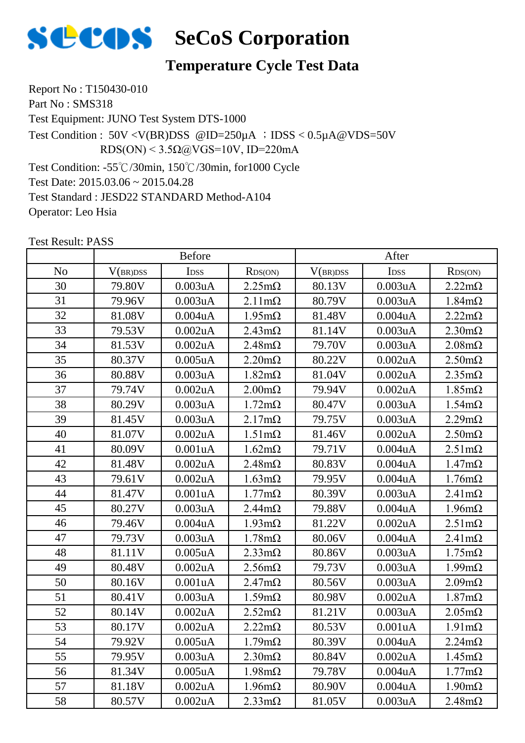

#### **Temperature Cycle Test Data**

Report No : T150430-010 Part No: SMS318 Test Equipment: JUNO Test System DTS-1000 Test Condition: -55℃/30min, 150℃/30min, for1000 Cycle Test Condition : 50V <V(BR)DSS @ID=250µA ;IDSS < 0.5µA@VDS=50V RDS(ON) <  $3.5\Omega$ @VGS=10V, ID=220mA

Test Date: 2015.03.06 ~ 2015.04.28 Test Standard : JESD22 STANDARD Method-A104 Operator: Leo Hsia

|                | <b>Before</b> |                  |                       | After    |                  |                       |
|----------------|---------------|------------------|-----------------------|----------|------------------|-----------------------|
| N <sub>o</sub> | V(BR)DSS      | I <sub>DSS</sub> | RDS(ON)               | V(BR)DSS | I <sub>DSS</sub> | RDS(ON)               |
| 30             | 79.80V        | 0.003uA          | $2.25 \text{m}\Omega$ | 80.13V   | 0.003uA          | $2.22 \text{m}\Omega$ |
| 31             | 79.96V        | 0.003uA          | $2.11 \text{m}\Omega$ | 80.79V   | 0.003uA          | $1.84 \text{m}\Omega$ |
| 32             | 81.08V        | 0.004uA          | $1.95 \text{m}\Omega$ | 81.48V   | 0.004uA          | $2.22 \text{m}\Omega$ |
| 33             | 79.53V        | $0.002$ u $A$    | $2.43 \text{m}\Omega$ | 81.14V   | 0.003uA          | $2.30 \text{m}\Omega$ |
| 34             | 81.53V        | 0.002uA          | $2.48 \text{m}\Omega$ | 79.70V   | 0.003uA          | $2.08 \text{m}\Omega$ |
| 35             | 80.37V        | $0.005$ u $A$    | $2.20 \text{m}\Omega$ | 80.22V   | 0.002uA          | $2.50 \text{m}\Omega$ |
| 36             | 80.88V        | 0.003uA          | $1.82 \text{m}\Omega$ | 81.04V   | 0.002uA          | $2.35 \text{m}\Omega$ |
| 37             | 79.74V        | 0.002uA          | $2.00 \text{m}\Omega$ | 79.94V   | 0.002uA          | $1.85 \text{m}\Omega$ |
| 38             | 80.29V        | 0.003uA          | $1.72 \text{m}\Omega$ | 80.47V   | 0.003uA          | $1.54m\Omega$         |
| 39             | 81.45V        | 0.003uA          | $2.17m\Omega$         | 79.75V   | 0.003uA          | $2.29m\Omega$         |
| 40             | 81.07V        | 0.002uA          | $1.51 \text{m}\Omega$ | 81.46V   | 0.002uA          | $2.50 \text{m}\Omega$ |
| 41             | 80.09V        | 0.001uA          | $1.62 \text{m}\Omega$ | 79.71V   | 0.004uA          | $2.51 \text{m}\Omega$ |
| 42             | 81.48V        | 0.002uA          | $2.48m\Omega$         | 80.83V   | $0.004$ u $A$    | $1.47 \text{m}\Omega$ |
| 43             | 79.61V        | $0.002$ u $A$    | $1.63 \text{m}\Omega$ | 79.95V   | 0.004uA          | $1.76m\Omega$         |
| 44             | 81.47V        | 0.001uA          | $1.77 \text{m}\Omega$ | 80.39V   | 0.003uA          | $2.41 \text{m}\Omega$ |
| 45             | 80.27V        | 0.003uA          | $2.44 \text{m}\Omega$ | 79.88V   | 0.004uA          | $1.96 \text{m}\Omega$ |
| 46             | 79.46V        | 0.004uA          | $1.93 \text{m}\Omega$ | 81.22V   | 0.002uA          | $2.51 \text{m}\Omega$ |
| 47             | 79.73V        | 0.003uA          | $1.78m\Omega$         | 80.06V   | 0.004uA          | $2.41 \text{m}\Omega$ |
| 48             | 81.11V        | $0.005$ uA       | $2.33 \text{mA}$      | 80.86V   | 0.003uA          | $1.75 \text{m}\Omega$ |
| 49             | 80.48V        | 0.002uA          | $2.56m\Omega$         | 79.73V   | 0.003uA          | $1.99m\Omega$         |
| 50             | 80.16V        | 0.001uA          | $2.47m\Omega$         | 80.56V   | 0.003uA          | $2.09m\Omega$         |
| 51             | 80.41V        | 0.003uA          | $1.59m\Omega$         | 80.98V   | 0.002uA          | $1.87m\Omega$         |
| 52             | 80.14V        | 0.002uA          | $2.52 \text{m}\Omega$ | 81.21V   | 0.003uA          | $2.05 \text{m}\Omega$ |
| 53             | 80.17V        | 0.002uA          | $2.22 \text{m}\Omega$ | 80.53V   | 0.001uA          | $1.91 \text{m}\Omega$ |
| 54             | 79.92V        | $0.005$ uA       | $1.79 \text{m}\Omega$ | 80.39V   | 0.004uA          | $2.24 \text{m}\Omega$ |
| 55             | 79.95V        | 0.003uA          | $2.30 \text{m}\Omega$ | 80.84V   | 0.002uA          | $1.45 \text{m}\Omega$ |
| 56             | 81.34V        | $0.005$ uA       | $1.98 \text{m}\Omega$ | 79.78V   | 0.004uA          | $1.77 \text{m}\Omega$ |
| 57             | 81.18V        | 0.002uA          | $1.96 \text{m}\Omega$ | 80.90V   | 0.004uA          | $1.90 \text{m}\Omega$ |
| 58             | 80.57V        | $0.002$ uA       | $2.33 \text{mA}$      | 81.05V   | 0.003uA          | $2.48m\Omega$         |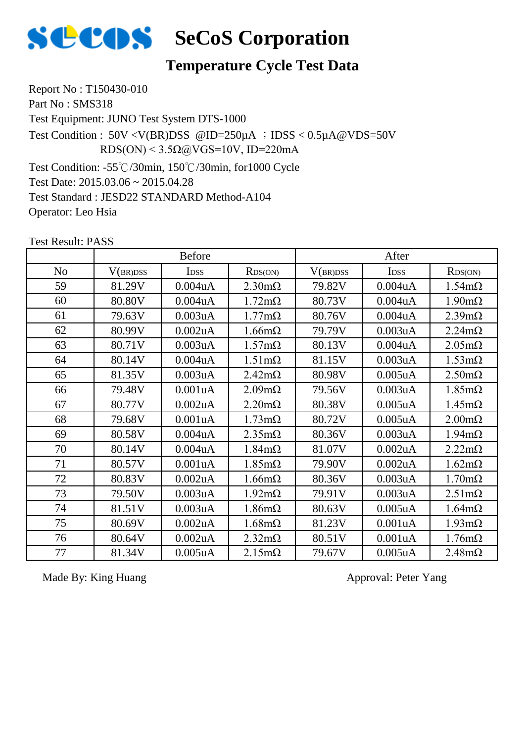

#### **Temperature Cycle Test Data**

Report No : T150430-010 Part No: SMS318 Test Equipment: JUNO Test System DTS-1000 Test Condition: -55℃/30min, 150℃/30min, for1000 Cycle Test Condition :  $50V < V(BR)DSS$  @ID=250 $\mu$ A ; IDSS < 0.5 $\mu$ A @VDS=50V RDS(ON) <  $3.5\Omega$ @VGS=10V, ID=220mA

Test Date: 2015.03.06 ~ 2015.04.28 Test Standard : JESD22 STANDARD Method-A104 Operator: Leo Hsia

Test Result: PASS

|                |          | <b>Before</b> |                       |          | After                |                       |
|----------------|----------|---------------|-----------------------|----------|----------------------|-----------------------|
| N <sub>o</sub> | V(BR)DSS | <b>IDSS</b>   | RDS(ON)               | V(BR)DSS | I <sub>DSS</sub>     | RDS(ON)               |
| 59             | 81.29V   | $0.004$ u $A$ | $2.30 \text{m}\Omega$ | 79.82V   | $0.004$ u $A$        | $1.54 \text{m}\Omega$ |
| 60             | 80.80V   | $0.004$ u $A$ | $1.72 \text{m}\Omega$ | 80.73V   | 0.004 <sub>u</sub> A | $1.90 \text{m}\Omega$ |
| 61             | 79.63V   | 0.003uA       | $1.77 \text{m}\Omega$ | 80.76V   | $0.004$ u $A$        | $2.39 \text{m}\Omega$ |
| 62             | 80.99V   | $0.002$ u $A$ | $1.66 \text{m}\Omega$ | 79.79V   | 0.003uA              | $2.24m\Omega$         |
| 63             | 80.71V   | 0.003uA       | $1.57 \text{m}\Omega$ | 80.13V   | $0.004$ u $A$        | $2.05 \text{m}\Omega$ |
| 64             | 80.14V   | 0.004uA       | $1.51 \text{m}\Omega$ | 81.15V   | 0.003uA              | $1.53 \text{m}\Omega$ |
| 65             | 81.35V   | 0.003uA       | $2.42 \text{m}\Omega$ | 80.98V   | $0.005$ uA           | $2.50 \text{m}\Omega$ |
| 66             | 79.48V   | 0.001uA       | $2.09m\Omega$         | 79.56V   | 0.003uA              | $1.85 \text{m}\Omega$ |
| 67             | 80.77V   | $0.002$ u $A$ | $2.20 \text{m}\Omega$ | 80.38V   | $0.005$ uA           | $1.45 \text{m}\Omega$ |
| 68             | 79.68V   | 0.001uA       | $1.73 \text{m}\Omega$ | 80.72V   | $0.005$ uA           | $2.00 \text{m}\Omega$ |
| 69             | 80.58V   | $0.004$ u $A$ | $2.35 \text{m}\Omega$ | 80.36V   | 0.003uA              | $1.94 \text{m}\Omega$ |
| 70             | 80.14V   | $0.004$ u $A$ | $1.84 \text{m}\Omega$ | 81.07V   | 0.002uA              | $2.22 \text{m}\Omega$ |
| 71             | 80.57V   | 0.001uA       | $1.85 \text{m}\Omega$ | 79.90V   | $0.002$ uA           | $1.62 \text{m}\Omega$ |
| 72             | 80.83V   | 0.002uA       | $1.66 \text{m}\Omega$ | 80.36V   | 0.003uA              | $1.70 \text{m}\Omega$ |
| 73             | 79.50V   | 0.003uA       | $1.92 \text{m}\Omega$ | 79.91V   | 0.003uA              | $2.51 \text{m}\Omega$ |
| 74             | 81.51V   | 0.003uA       | $1.86 \text{m}\Omega$ | 80.63V   | $0.005$ uA           | $1.64 \text{m}\Omega$ |
| 75             | 80.69V   | 0.002uA       | $1.68 \text{m}\Omega$ | 81.23V   | 0.001uA              | $1.93 \text{m}\Omega$ |
| 76             | 80.64V   | 0.002uA       | $2.32 \text{m}\Omega$ | 80.51V   | 0.001uA              | $1.76m\Omega$         |
| 77             | 81.34V   | $0.005$ uA    | $2.15 \text{m}\Omega$ | 79.67V   | $0.005$ uA           | $2.48m\Omega$         |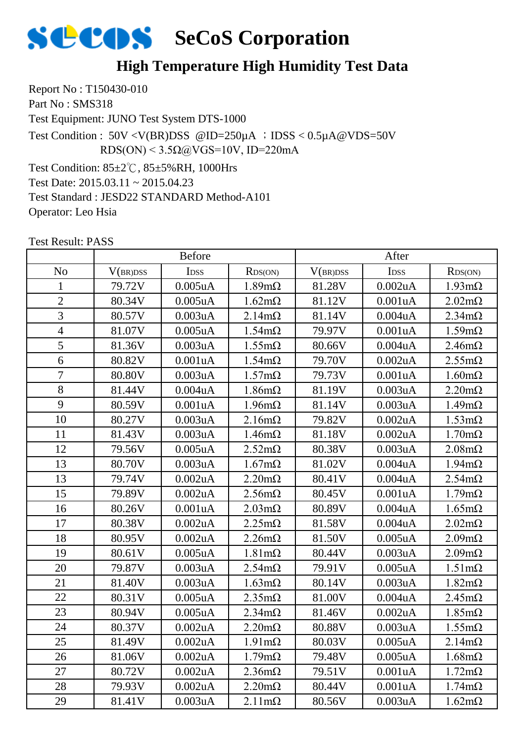

### **High Temperature High Humidity Test Data**

Report No : T150430-010 Part No: SMS318

Test Equipment: JUNO Test System DTS-1000

Test Condition : 50V <V(BR)DSS @ID=250µA ;IDSS < 0.5µA@VDS=50V RDS(ON) <  $3.5\Omega$ @VGS=10V, ID=220mA

Test Condition: 85±2℃, 85±5%RH, 1000Hrs Test Date: 2015.03.11 ~ 2015.04.23 Test Standard : JESD22 STANDARD Method-A101 Operator: Leo Hsia

|                | <b>Before</b> |                      |                       | After    |                  |                       |
|----------------|---------------|----------------------|-----------------------|----------|------------------|-----------------------|
| N <sub>o</sub> | V(BR)DSS      | I <sub>DSS</sub>     | RDS(ON)               | V(BR)DSS | I <sub>DSS</sub> | RDS(ON)               |
| 1              | 79.72V        | $0.005$ u $A$        | $1.89m\Omega$         | 81.28V   | $0.002$ uA       | $1.93 \text{m}\Omega$ |
| $\overline{2}$ | 80.34V        | $0.005$ u $A$        | $1.62 \text{m}\Omega$ | 81.12V   | 0.001uA          | $2.02 \text{m}\Omega$ |
| 3              | 80.57V        | 0.003uA              | $2.14m\Omega$         | 81.14V   | $0.004$ u $A$    | $2.34 \text{m}\Omega$ |
| $\overline{4}$ | 81.07V        | $0.005$ uA           | $1.54 \text{m}\Omega$ | 79.97V   | 0.001uA          | $1.59m\Omega$         |
| 5              | 81.36V        | 0.003uA              | $1.55 \text{m}\Omega$ | 80.66V   | $0.004$ u $A$    | $2.46m\Omega$         |
| 6              | 80.82V        | 0.001uA              | $1.54 \text{m}\Omega$ | 79.70V   | $0.002$ uA       | $2.55 \text{m}\Omega$ |
| 7              | 80.80V        | 0.003uA              | $1.57 \text{m}\Omega$ | 79.73V   | 0.001uA          | $1.60 \text{m}\Omega$ |
| 8              | 81.44V        | 0.004uA              | $1.86 \text{m}\Omega$ | 81.19V   | 0.003uA          | $2.20 \text{m}\Omega$ |
| 9              | 80.59V        | 0.001uA              | $1.96 \text{m}\Omega$ | 81.14V   | 0.003uA          | $1.49m\Omega$         |
| 10             | 80.27V        | 0.003uA              | $2.16m\Omega$         | 79.82V   | $0.002$ uA       | $1.53 \text{m}\Omega$ |
| 11             | 81.43V        | 0.003uA              | $1.46m\Omega$         | 81.18V   | $0.002$ uA       | $1.70 \text{m}\Omega$ |
| 12             | 79.56V        | $0.005$ uA           | $2.52 \text{m}\Omega$ | 80.38V   | 0.003uA          | $2.08 \text{m}\Omega$ |
| 13             | 80.70V        | 0.003uA              | $1.67 \text{m}\Omega$ | 81.02V   | $0.004$ u $A$    | $1.94 \text{m}\Omega$ |
| 13             | 79.74V        | 0.002uA              | $2.20 \text{m}\Omega$ | 80.41V   | 0.004uA          | $2.54m\Omega$         |
| 15             | 79.89V        | 0.002uA              | $2.56 \text{m}\Omega$ | 80.45V   | 0.001uA          | $1.79m\Omega$         |
| 16             | 80.26V        | 0.001uA              | $2.03 \text{m}\Omega$ | 80.89V   | 0.004uA          | $1.65 \text{m}\Omega$ |
| 17             | 80.38V        | 0.002uA              | $2.25 \text{m}\Omega$ | 81.58V   | 0.004uA          | $2.02 \text{m}\Omega$ |
| 18             | 80.95V        | 0.002uA              | $2.26 \text{m}\Omega$ | 81.50V   | $0.005$ uA       | $2.09m\Omega$         |
| 19             | 80.61V        | $0.005$ uA           | $1.81 \text{m}\Omega$ | 80.44V   | 0.003uA          | $2.09m\Omega$         |
| 20             | 79.87V        | 0.003uA              | $2.54m\Omega$         | 79.91V   | $0.005$ uA       | $1.51 \text{m}\Omega$ |
| 21             | 81.40V        | 0.003uA              | $1.63 \text{m}\Omega$ | 80.14V   | 0.003uA          | $1.82 \text{m}\Omega$ |
| 22             | 80.31V        | $0.005$ uA           | $2.35 \text{m}\Omega$ | 81.00V   | $0.004$ u $A$    | $2.45m\Omega$         |
| 23             | 80.94V        | $0.005$ u $A$        | $2.34 \text{m}\Omega$ | 81.46V   | 0.002uA          | $1.85 \text{m}\Omega$ |
| 24             | 80.37V        | 0.002uA              | $2.20 \text{m}\Omega$ | 80.88V   | 0.003uA          | $1.55 \text{m}\Omega$ |
| 25             | 81.49V        | 0.002uA              | $1.91 \text{m}\Omega$ | 80.03V   | $0.005$ uA       | $2.14m\Omega$         |
| 26             | 81.06V        | 0.002uA              | $1.79m\Omega$         | 79.48V   | $0.005$ u $A$    | $1.68 \text{m}\Omega$ |
| 27             | 80.72V        | 0.002 <sub>u</sub> A | $2.36 \text{m}\Omega$ | 79.51V   | 0.001uA          | $1.72 \text{m}\Omega$ |
| 28             | 79.93V        | 0.002uA              | $2.20 \text{m}\Omega$ | 80.44V   | 0.001uA          | $1.74 \text{m}\Omega$ |
| 29             | 81.41V        | 0.003uA              | $2.11 \text{m}\Omega$ | 80.56V   | 0.003uA          | $1.62 \text{m}\Omega$ |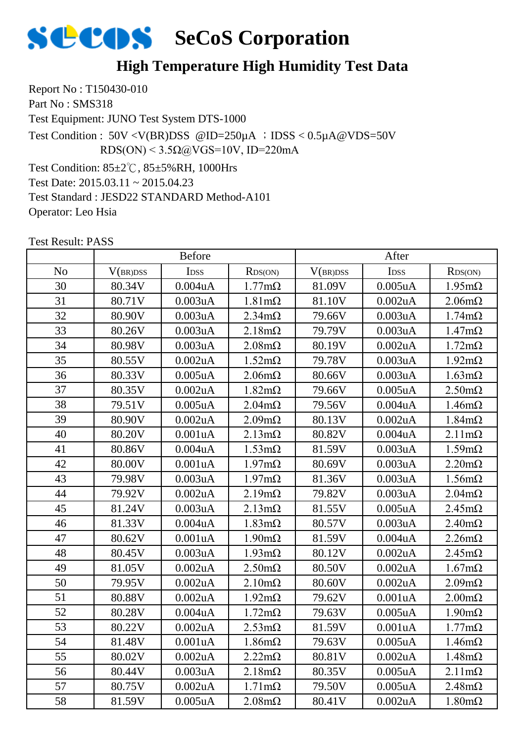

### **High Temperature High Humidity Test Data**

Report No : T150430-010 Part No: SMS318

Test Equipment: JUNO Test System DTS-1000

Test Condition : 50V <V(BR)DSS @ID=250µA ;IDSS < 0.5µA@VDS=50V RDS(ON) <  $3.5\Omega$ @VGS=10V, ID=220mA

Test Condition: 85±2℃, 85±5%RH, 1000Hrs Test Date: 2015.03.11 ~ 2015.04.23 Test Standard : JESD22 STANDARD Method-A101 Operator: Leo Hsia

|                | <b>Before</b> |                  |                       | After    |                      |                       |
|----------------|---------------|------------------|-----------------------|----------|----------------------|-----------------------|
| N <sub>o</sub> | V(BR)DSS      | I <sub>DSS</sub> | RDS(ON)               | V(BR)DSS | I <sub>DSS</sub>     | RDS(ON)               |
| 30             | 80.34V        | $0.004$ u $A$    | $1.77 \text{m}\Omega$ | 81.09V   | $0.005$ uA           | $1.95 \text{m}\Omega$ |
| 31             | 80.71V        | 0.003uA          | $1.81 \text{m}\Omega$ | 81.10V   | $0.002$ uA           | $2.06 \text{m}\Omega$ |
| 32             | 80.90V        | 0.003uA          | $2.34 \text{m}\Omega$ | 79.66V   | 0.003uA              | $1.74 \text{m}\Omega$ |
| 33             | 80.26V        | 0.003uA          | $2.18m\Omega$         | 79.79V   | 0.003uA              | $1.47 \text{m}\Omega$ |
| 34             | 80.98V        | 0.003uA          | $2.08 \text{m}\Omega$ | 80.19V   | 0.002uA              | $1.72 \text{m}\Omega$ |
| 35             | 80.55V        | $0.002$ uA       | $1.52 \text{m}\Omega$ | 79.78V   | 0.003uA              | $1.92 \text{m}\Omega$ |
| 36             | 80.33V        | $0.005$ uA       | $2.06 \text{m}\Omega$ | 80.66V   | 0.003uA              | $1.63 \text{m}\Omega$ |
| 37             | 80.35V        | 0.002uA          | $1.82 \text{m}\Omega$ | 79.66V   | $0.005$ u $A$        | $2.50 \text{m}\Omega$ |
| 38             | 79.51V        | $0.005$ u $A$    | $2.04m\Omega$         | 79.56V   | 0.004uA              | $1.46m\Omega$         |
| 39             | 80.90V        | 0.002uA          | $2.09m\Omega$         | 80.13V   | 0.002uA              | $1.84 \text{m}\Omega$ |
| 40             | 80.20V        | 0.001uA          | $2.13 \text{m}\Omega$ | 80.82V   | $0.004$ u $A$        | $2.11 \text{m}\Omega$ |
| 41             | 80.86V        | $0.004$ u $A$    | $1.53 \text{m}\Omega$ | 81.59V   | 0.003uA              | $1.59m\Omega$         |
| 42             | 80.00V        | 0.001uA          | $1.97 \text{m}\Omega$ | 80.69V   | 0.003uA              | $2.20 \text{m}\Omega$ |
| 43             | 79.98V        | 0.003uA          | $1.97 \text{m}\Omega$ | 81.36V   | 0.003uA              | $1.56m\Omega$         |
| 44             | 79.92V        | 0.002uA          | $2.19m\Omega$         | 79.82V   | 0.003uA              | $2.04m\Omega$         |
| 45             | 81.24V        | 0.003uA          | $2.13 \text{m}\Omega$ | 81.55V   | $0.005$ uA           | $2.45 \text{m}\Omega$ |
| 46             | 81.33V        | $0.004$ u $A$    | $1.83 \text{m}\Omega$ | 80.57V   | 0.003uA              | $2.40 \text{m}\Omega$ |
| 47             | 80.62V        | 0.001uA          | $1.90 \text{m}\Omega$ | 81.59V   | $0.004$ u $A$        | $2.26 \text{m}\Omega$ |
| 48             | 80.45V        | 0.003uA          | $1.93 \text{mA}$      | 80.12V   | 0.002uA              | $2.45m\Omega$         |
| 49             | 81.05V        | 0.002uA          | $2.50 \text{m}\Omega$ | 80.50V   | 0.002uA              | $1.67 \text{m}\Omega$ |
| 50             | 79.95V        | 0.002uA          | $2.10 \text{m}\Omega$ | 80.60V   | $0.002$ uA           | $2.09m\Omega$         |
| 51             | 80.88V        | $0.002$ uA       | $1.92 \text{m}\Omega$ | 79.62V   | 0.001uA              | $2.00 \text{m}\Omega$ |
| 52             | 80.28V        | 0.004uA          | $1.72 \text{m}\Omega$ | 79.63V   | $0.005$ uA           | $1.90 \text{m}\Omega$ |
| 53             | 80.22V        | $0.002$ uA       | $2.53 \text{mA}$      | 81.59V   | 0.001uA              | $1.77 \text{m}\Omega$ |
| 54             | 81.48V        | 0.001uA          | $1.86 \text{m}\Omega$ | 79.63V   | $0.005$ uA           | $1.46m\Omega$         |
| 55             | 80.02V        | 0.002uA          | $2.22 \text{m}\Omega$ | 80.81V   | 0.002uA              | $1.48m\Omega$         |
| 56             | 80.44V        | 0.003uA          | $2.18m\Omega$         | 80.35V   | 0.005 <sub>u</sub> A | $2.11 \text{m}\Omega$ |
| 57             | 80.75V        | 0.002uA          | $1.71 \text{m}\Omega$ | 79.50V   | 0.005uA              | $2.48m\Omega$         |
| 58             | 81.59V        | $0.005$ u $A$    | $2.08 \text{m}\Omega$ | 80.41V   | 0.002uA              | $1.80 \text{m}\Omega$ |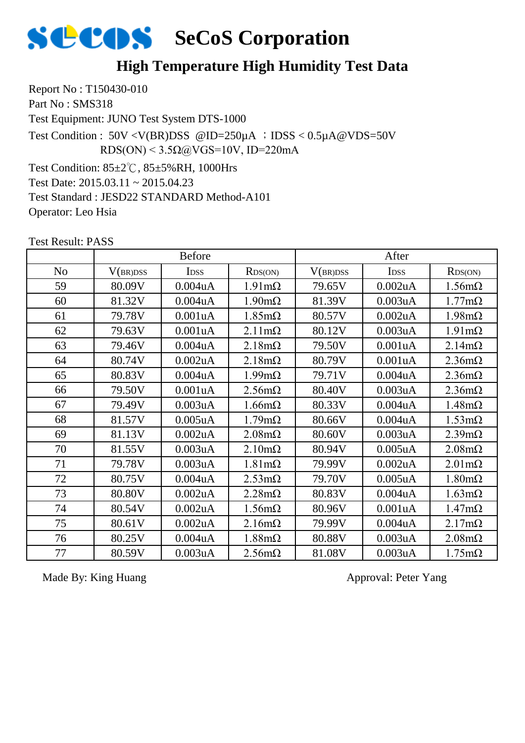

#### **High Temperature High Humidity Test Data**

Report No : T150430-010 Part No: SMS318

Test Equipment: JUNO Test System DTS-1000

Test Condition : 50V <V(BR)DSS @ID=250µA ;IDSS < 0.5µA@VDS=50V RDS(ON) <  $3.5\Omega$ @VGS=10V, ID=220mA

Test Condition: 85±2℃, 85±5%RH, 1000Hrs Test Date: 2015.03.11 ~ 2015.04.23 Test Standard : JESD22 STANDARD Method-A101 Operator: Leo Hsia

Test Result: PASS

|                | <b>Before</b> |               |                       | After    |                  |                       |
|----------------|---------------|---------------|-----------------------|----------|------------------|-----------------------|
| N <sub>o</sub> | V(BR)DSS      | <b>IDSS</b>   | RDS(ON)               | V(BR)DSS | I <sub>DSS</sub> | RDS(ON)               |
| 59             | 80.09V        | 0.004uA       | $1.91 \text{m}\Omega$ | 79.65V   | $0.002$ uA       | $1.56m\Omega$         |
| 60             | 81.32V        | 0.004uA       | $1.90 \text{m}\Omega$ | 81.39V   | 0.003uA          | $1.77 \text{m}\Omega$ |
| 61             | 79.78V        | 0.001uA       | $1.85 \text{m}\Omega$ | 80.57V   | $0.002$ uA       | $1.98 \text{m}\Omega$ |
| 62             | 79.63V        | 0.001uA       | $2.11 \text{m}\Omega$ | 80.12V   | 0.003uA          | $1.91 \text{m}\Omega$ |
| 63             | 79.46V        | 0.004uA       | $2.18m\Omega$         | 79.50V   | 0.001uA          | $2.14m\Omega$         |
| 64             | 80.74V        | 0.002uA       | $2.18m\Omega$         | 80.79V   | 0.001uA          | $2.36 \text{m}\Omega$ |
| 65             | 80.83V        | $0.004$ u $A$ | $1.99 \text{m}\Omega$ | 79.71V   | $0.004$ u $A$    | $2.36 \text{m}\Omega$ |
| 66             | 79.50V        | 0.001uA       | $2.56 \text{m}\Omega$ | 80.40V   | 0.003uA          | $2.36 \text{m}\Omega$ |
| 67             | 79.49V        | 0.003uA       | $1.66 \text{m}\Omega$ | 80.33V   | $0.004$ u $A$    | $1.48m\Omega$         |
| 68             | 81.57V        | $0.005$ u $A$ | $1.79 \text{m}\Omega$ | 80.66V   | $0.004$ u $A$    | $1.53 \text{m}\Omega$ |
| 69             | 81.13V        | 0.002uA       | $2.08 \text{m}\Omega$ | 80.60V   | 0.003uA          | $2.39 \text{m}\Omega$ |
| 70             | 81.55V        | 0.003uA       | $2.10 \text{m}\Omega$ | 80.94V   | $0.005$ uA       | $2.08 \text{m}\Omega$ |
| 71             | 79.78V        | 0.003uA       | $1.81 \text{m}\Omega$ | 79.99V   | $0.002$ uA       | $2.01 \text{m}\Omega$ |
| 72             | 80.75V        | 0.004uA       | $2.53 \text{m}\Omega$ | 79.70V   | $0.005$ uA       | $1.80 \text{m}\Omega$ |
| 73             | 80.80V        | 0.002uA       | $2.28 \text{m}\Omega$ | 80.83V   | $0.004$ u $A$    | $1.63 \text{m}\Omega$ |
| 74             | 80.54V        | 0.002uA       | $1.56 \text{m}\Omega$ | 80.96V   | 0.001uA          | $1.47 \text{m}\Omega$ |
| 75             | 80.61V        | 0.002uA       | $2.16m\Omega$         | 79.99V   | $0.004$ u $A$    | $2.17m\Omega$         |
| 76             | 80.25V        | 0.004uA       | $1.88 \text{m}\Omega$ | 80.88V   | 0.003uA          | $2.08 \text{m}\Omega$ |
| 77             | 80.59V        | 0.003uA       | $2.56 \text{m}\Omega$ | 81.08V   | 0.003uA          | $1.75 \text{m}\Omega$ |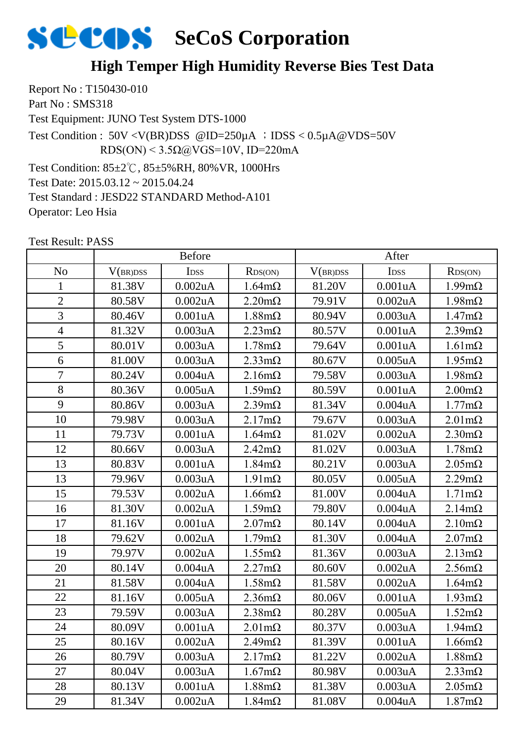#### **High Temper High Humidity Reverse Bies Test Data**

Report No : T150430-010 Part No : SMS318

Test Equipment: JUNO Test System DTS-1000

Test Condition : 50V <V(BR)DSS @ID=250µA ;IDSS < 0.5µA@VDS=50V RDS(ON) <  $3.5\Omega$ @VGS=10V, ID=220mA

Test Condition: 85±2℃, 85±5%RH, 80%VR, 1000Hrs

Test Date: 2015.03.12 ~ 2015.04.24

Test Standard : JESD22 STANDARD Method-A101

Operator: Leo Hsia

|                | <b>Before</b> |               |                       | After    |            |                       |
|----------------|---------------|---------------|-----------------------|----------|------------|-----------------------|
| N <sub>o</sub> | V(BR)DSS      | IDSS          | RDS(ON)               | V(BR)DSS | IDSS       | RDS(ON)               |
| 1              | 81.38V        | 0.002uA       | $1.64 \text{m}\Omega$ | 81.20V   | 0.001uA    | $1.99m\Omega$         |
| $\overline{2}$ | 80.58V        | 0.002uA       | $2.20 \text{m}\Omega$ | 79.91V   | $0.002$ uA | $1.98 \text{m}\Omega$ |
| $\overline{3}$ | 80.46V        | 0.001uA       | $1.88 \text{m}\Omega$ | 80.94V   | 0.003uA    | $1.47m\Omega$         |
| $\overline{4}$ | 81.32V        | 0.003uA       | $2.23 \text{m}\Omega$ | 80.57V   | 0.001uA    | $2.39m\Omega$         |
| $\overline{5}$ | 80.01V        | 0.003uA       | $1.78 \text{m}\Omega$ | 79.64V   | 0.001uA    | $1.61 \text{m}\Omega$ |
| 6              | 81.00V        | 0.003uA       | $2.33 \text{mA}$      | 80.67V   | $0.005$ uA | $1.95 \text{m}\Omega$ |
| $\overline{7}$ | 80.24V        | 0.004uA       | $2.16m\Omega$         | 79.58V   | 0.003uA    | $1.98 \text{m}\Omega$ |
| 8              | 80.36V        | $0.005$ u $A$ | $1.59m\Omega$         | 80.59V   | 0.001uA    | $2.00 \text{m}\Omega$ |
| 9              | 80.86V        | 0.003uA       | $2.39m\Omega$         | 81.34V   | 0.004uA    | $1.77 \text{m}\Omega$ |
| 10             | 79.98V        | 0.003uA       | $2.17m\Omega$         | 79.67V   | 0.003uA    | $2.01 \text{m}\Omega$ |
| 11             | 79.73V        | 0.001uA       | $1.64 \text{m}\Omega$ | 81.02V   | $0.002$ uA | $2.30 \text{m}\Omega$ |
| 12             | 80.66V        | 0.003uA       | $2.42 \text{m}\Omega$ | 81.02V   | 0.003uA    | $1.78m\Omega$         |
| 13             | 80.83V        | 0.001uA       | $1.84 \text{m}\Omega$ | 80.21V   | 0.003uA    | $2.05 \text{m}\Omega$ |
| 13             | 79.96V        | 0.003uA       | $1.91 \text{m}\Omega$ | 80.05V   | $0.005$ uA | $2.29m\Omega$         |
| 15             | 79.53V        | 0.002uA       | $1.66 \text{m}\Omega$ | 81.00V   | 0.004uA    | $1.71 \text{m}\Omega$ |
| 16             | 81.30V        | 0.002uA       | $1.59m\Omega$         | 79.80V   | 0.004uA    | $2.14m\Omega$         |
| 17             | 81.16V        | 0.001uA       | $2.07 \text{m}\Omega$ | 80.14V   | 0.004uA    | $2.10 \text{m}\Omega$ |
| 18             | 79.62V        | 0.002uA       | $1.79m\Omega$         | 81.30V   | 0.004uA    | $2.07 \text{m}\Omega$ |
| 19             | 79.97V        | 0.002uA       | $1.55 \text{m}\Omega$ | 81.36V   | 0.003uA    | $2.13 \text{m}\Omega$ |
| 20             | 80.14V        | 0.004uA       | $2.27 \text{m}\Omega$ | 80.60V   | 0.002uA    | $2.56 \text{m}\Omega$ |
| 21             | 81.58V        | 0.004uA       | $1.58 \text{m}\Omega$ | 81.58V   | 0.002uA    | $1.64 \text{m}\Omega$ |
| 22             | 81.16V        | $0.005$ uA    | $2.36 \text{m}\Omega$ | 80.06V   | 0.001uA    | $1.93 \text{m}\Omega$ |
| 23             | 79.59V        | 0.003uA       | $2.38 \text{m}\Omega$ | 80.28V   | $0.005$ uA | $1.52 \text{m}\Omega$ |
| 24             | 80.09V        | 0.001uA       | $2.01 \text{m}\Omega$ | 80.37V   | 0.003uA    | $1.94 \text{m}\Omega$ |
| 25             | 80.16V        | 0.002uA       | $2.49m\Omega$         | 81.39V   | 0.001uA    | $1.66 \text{m}\Omega$ |
| 26             | 80.79V        | 0.003uA       | $2.17 \text{m}\Omega$ | 81.22V   | 0.002uA    | $1.88 \text{m}\Omega$ |
| 27             | 80.04V        | 0.003uA       | $1.67 \text{m}\Omega$ | 80.98V   | 0.003uA    | $2.33 \text{m}\Omega$ |
| 28             | 80.13V        | 0.001uA       | $1.88 \text{m}\Omega$ | 81.38V   | 0.003uA    | $2.05 \text{m}\Omega$ |
| 29             | 81.34V        | 0.002uA       | $1.84 \text{m}\Omega$ | 81.08V   | 0.004uA    | $1.87m\Omega$         |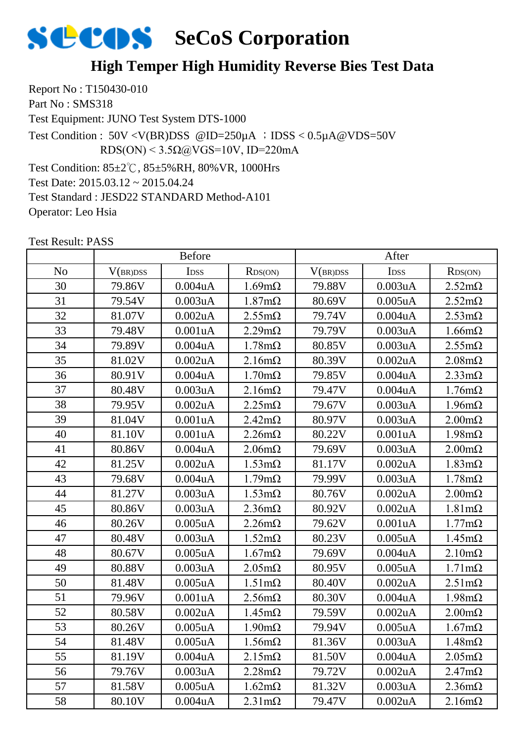#### **High Temper High Humidity Reverse Bies Test Data**

Report No : T150430-010 Part No : SMS318

Test Equipment: JUNO Test System DTS-1000

Test Condition : 50V <V(BR)DSS @ID=250µA ;IDSS < 0.5µA@VDS=50V RDS(ON) <  $3.5\Omega$ @VGS=10V, ID=220mA

Test Condition: 85±2℃, 85±5%RH, 80%VR, 1000Hrs

Test Date: 2015.03.12 ~ 2015.04.24

Test Standard : JESD22 STANDARD Method-A101

Operator: Leo Hsia

|                |          | <b>Before</b>    |                       | After    |                      |                       |
|----------------|----------|------------------|-----------------------|----------|----------------------|-----------------------|
| N <sub>o</sub> | V(BR)DSS | I <sub>DSS</sub> | RDS(ON)               | V(BR)DSS | <b>IDSS</b>          | RDS(ON)               |
| 30             | 79.86V   | 0.004uA          | $1.69m\Omega$         | 79.88V   | 0.003uA              | $2.52 \text{m}\Omega$ |
| 31             | 79.54V   | 0.003uA          | $1.87 \text{m}\Omega$ | 80.69V   | $0.005$ uA           | $2.52 \text{m}\Omega$ |
| 32             | 81.07V   | $0.002$ uA       | $2.55 \text{m}\Omega$ | 79.74V   | 0.004uA              | $2.53 \text{m}\Omega$ |
| 33             | 79.48V   | 0.001uA          | $2.29 \text{m}\Omega$ | 79.79V   | 0.003uA              | $1.66 \text{m}\Omega$ |
| 34             | 79.89V   | 0.004uA          | $1.78m\Omega$         | 80.85V   | 0.003uA              | $2.55 \text{m}\Omega$ |
| 35             | 81.02V   | 0.002uA          | $2.16m\Omega$         | 80.39V   | 0.002uA              | $2.08 \text{m}\Omega$ |
| 36             | 80.91V   | 0.004uA          | $1.70 \text{m}\Omega$ | 79.85V   | 0.004uA              | $2.33 \text{mA}$      |
| 37             | 80.48V   | 0.003uA          | $2.16m\Omega$         | 79.47V   | 0.004uA              | $1.76m\Omega$         |
| 38             | 79.95V   | 0.002uA          | $2.25 \text{m}\Omega$ | 79.67V   | 0.003uA              | $1.96 \text{m}\Omega$ |
| 39             | 81.04V   | 0.001uA          | $2.42 \text{m}\Omega$ | 80.97V   | 0.003uA              | $2.00 \text{m}\Omega$ |
| 40             | 81.10V   | 0.001uA          | $2.26 \text{m}\Omega$ | 80.22V   | 0.001uA              | $1.98 \text{m}\Omega$ |
| 41             | 80.86V   | 0.004uA          | $2.06 \text{m}\Omega$ | 79.69V   | 0.003uA              | $2.00 \text{m}\Omega$ |
| 42             | 81.25V   | $0.002$ uA       | $1.53 \text{m}\Omega$ | 81.17V   | $0.002$ uA           | $1.83 \text{m}\Omega$ |
| 43             | 79.68V   | 0.004uA          | $1.79m\Omega$         | 79.99V   | 0.003uA              | $1.78m\Omega$         |
| 44             | 81.27V   | 0.003uA          | $1.53 \text{m}\Omega$ | 80.76V   | $0.002$ uA           | $2.00 \text{m}\Omega$ |
| 45             | 80.86V   | 0.003uA          | $2.36 \text{m}\Omega$ | 80.92V   | 0.002uA              | $1.81 \text{m}\Omega$ |
| 46             | 80.26V   | $0.005$ uA       | $2.26 \text{m}\Omega$ | 79.62V   | 0.001uA              | $1.77 \text{m}\Omega$ |
| 47             | 80.48V   | 0.003uA          | $1.52 \text{m}\Omega$ | 80.23V   | $0.005$ uA           | $1.45 \text{m}\Omega$ |
| 48             | 80.67V   | $0.005$ uA       | $1.67 \text{m}\Omega$ | 79.69V   | 0.004uA              | $2.10 \text{m}\Omega$ |
| 49             | 80.88V   | 0.003uA          | $2.05 \text{m}\Omega$ | 80.95V   | $0.005$ uA           | $1.71 \text{m}\Omega$ |
| 50             | 81.48V   | $0.005$ u $A$    | $1.51 \text{m}\Omega$ | 80.40V   | 0.002uA              | $2.51 \text{m}\Omega$ |
| 51             | 79.96V   | 0.001uA          | $2.56 \text{m}\Omega$ | 80.30V   | 0.004uA              | $1.98 \text{m}\Omega$ |
| 52             | 80.58V   | $0.002$ uA       | $1.45 \text{m}\Omega$ | 79.59V   | $0.002$ uA           | $2.00 \text{m}\Omega$ |
| 53             | 80.26V   | $0.005$ uA       | $1.90 \text{m}\Omega$ | 79.94V   | $0.005$ uA           | $1.67 \text{m}\Omega$ |
| 54             | 81.48V   | $0.005$ u $A$    | $1.56m\Omega$         | 81.36V   | 0.003uA              | $1.48m\Omega$         |
| 55             | 81.19V   | 0.004uA          | $2.15 \text{m}\Omega$ | 81.50V   | 0.004uA              | $2.05 \text{m}\Omega$ |
| 56             | 79.76V   | 0.003uA          | $2.28 \text{m}\Omega$ | 79.72V   | 0.002 <sub>u</sub> A | $2.47 \text{m}\Omega$ |
| 57             | 81.58V   | 0.005uA          | $1.62 \text{m}\Omega$ | 81.32V   | 0.003uA              | $2.36 \text{m}\Omega$ |
| 58             | 80.10V   | 0.004uA          | $2.31 \text{m}\Omega$ | 79.47V   | 0.002 <sub>u</sub> A | $2.16m\Omega$         |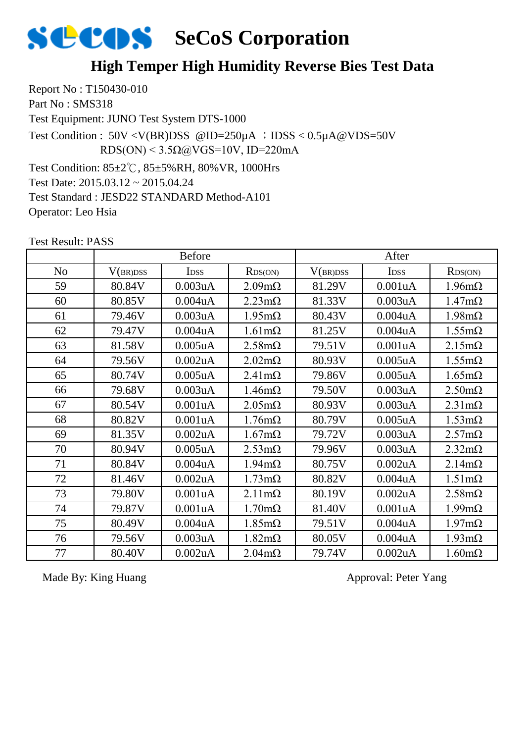

#### **High Temper High Humidity Reverse Bies Test Data**

Report No : T150430-010 Part No : SMS318

Test Equipment: JUNO Test System DTS-1000

Test Condition :  $50V < V(BR)DSS$  @ID=250 $\mu$ A ; IDSS < 0.5 $\mu$ A @VDS=50V RDS(ON) <  $3.5\Omega$ @VGS=10V, ID=220mA

Test Condition: 85±2℃, 85±5%RH, 80%VR, 1000Hrs

Test Date: 2015.03.12 ~ 2015.04.24

Test Standard : JESD22 STANDARD Method-A101

Operator: Leo Hsia

Test Result: PASS

|                | <b>Before</b> |                      |                       | After    |                  |                       |
|----------------|---------------|----------------------|-----------------------|----------|------------------|-----------------------|
| N <sub>o</sub> | V(BR)DSS      | <b>IDSS</b>          | RDS(ON)               | V(BR)DSS | I <sub>DSS</sub> | RDS(ON)               |
| 59             | 80.84V        | 0.003uA              | $2.09m\Omega$         | 81.29V   | 0.001uA          | $1.96 \text{m}\Omega$ |
| 60             | 80.85V        | 0.004 <sub>u</sub> A | $2.23 \text{m}\Omega$ | 81.33V   | 0.003uA          | $1.47 \text{m}\Omega$ |
| 61             | 79.46V        | 0.003uA              | $1.95 \text{m}\Omega$ | 80.43V   | $0.004$ u $A$    | $1.98 \text{m}\Omega$ |
| 62             | 79.47V        | $0.004$ u $A$        | $1.61 \text{m}\Omega$ | 81.25V   | $0.004$ u $A$    | $1.55 \text{m}\Omega$ |
| 63             | 81.58V        | $0.005$ uA           | $2.58 \text{m}\Omega$ | 79.51V   | 0.001uA          | $2.15 \text{m}\Omega$ |
| 64             | 79.56V        | $0.002$ uA           | $2.02 \text{m}\Omega$ | 80.93V   | $0.005$ uA       | $1.55 \text{m}\Omega$ |
| 65             | 80.74V        | $0.005$ uA           | $2.41 \text{m}\Omega$ | 79.86V   | $0.005$ uA       | $1.65 \text{m}\Omega$ |
| 66             | 79.68V        | 0.003uA              | $1.46m\Omega$         | 79.50V   | 0.003uA          | $2.50 \text{m}\Omega$ |
| 67             | 80.54V        | 0.001uA              | $2.05 \text{m}\Omega$ | 80.93V   | 0.003uA          | $2.31 \text{m}\Omega$ |
| 68             | 80.82V        | 0.001uA              | $1.76m\Omega$         | 80.79V   | $0.005$ uA       | $1.53 \text{m}\Omega$ |
| 69             | 81.35V        | $0.002$ uA           | $1.67 \text{m}\Omega$ | 79.72V   | 0.003uA          | $2.57 \text{m}\Omega$ |
| 70             | 80.94V        | $0.005$ uA           | $2.53 \text{m}\Omega$ | 79.96V   | 0.003uA          | $2.32 \text{m}\Omega$ |
| 71             | 80.84V        | $0.004$ u $A$        | $1.94 \text{m}\Omega$ | 80.75V   | $0.002$ uA       | $2.14m\Omega$         |
| 72             | 81.46V        | $0.002$ uA           | $1.73 \text{m}\Omega$ | 80.82V   | $0.004$ u $A$    | $1.51 \text{m}\Omega$ |
| 73             | 79.80V        | 0.001uA              | $2.11 \text{m}\Omega$ | 80.19V   | $0.002$ uA       | $2.58 \text{m}\Omega$ |
| 74             | 79.87V        | 0.001uA              | $1.70 \text{m}\Omega$ | 81.40V   | 0.001uA          | $1.99 \text{mA}$      |
| 75             | 80.49V        | $0.004$ u $A$        | $1.85 \text{m}\Omega$ | 79.51V   | $0.004$ u $A$    | $1.97 \text{m}\Omega$ |
| 76             | 79.56V        | 0.003uA              | $1.82 \text{m}\Omega$ | 80.05V   | $0.004$ u $A$    | $1.93 \text{mA}$      |
| 77             | 80.40V        | $0.002$ uA           | $2.04m\Omega$         | 79.74V   | $0.002$ uA       | $1.60 \text{m}\Omega$ |